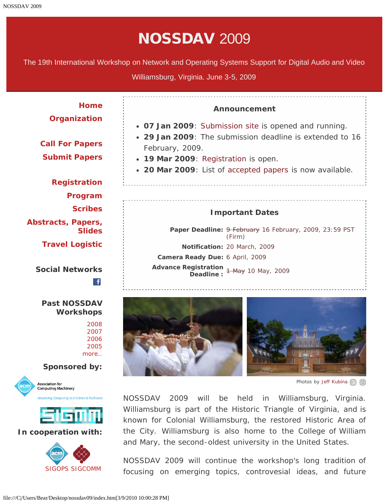# NOSSDAV 2009

The 19th International Workshop on Network and Operating Systems Support for Digital Audio and Video

Williamsburg, Virginia. June 3-5, 2009

**[Home](#page-2-0) Announcement [Organization](#page-4-0) 07 Jan 2009**: [Submission site](javascript:if(confirm() is opened and running. **29 Jan 2009**: The submission deadline is extended to 16 **[Call For Papers](#page-6-0)** February, 2009. **[Submit Papers](javascript:if(confirm() 19 Mar 2009**: [Registration](#page-8-0) is open. **20 Mar 2009**: List of [accepted papers](#page-64-0) is now available. **[Registration](#page-8-0) [Program](#page-10-0) [Scribes](#page-18-0) Important Dates [Abstracts, Papers,](#page-39-0)** Paper Deadline: 9 February 16 February, 2009, 23:59 PST **[Slides](#page-39-0)** (Firm) **[Travel Logistic](#page-62-0) Notification:** 20 March, 2009 **Camera Ready Due:** 6 April, 2009 **Advance Registration Deadline :** 1 May 10 May, 2009 **Social Networks**  $\mathbf{f}$ **Past NOSSDAV Workshops** [2008](javascript:if(confirm() [2007](javascript:if(confirm()

[2006](javascript:if(confirm() [2005](javascript:if(confirm() [more..](javascript:if(confirm()

#### **Sponsored by:**





#### **In cooperation with:**





*Photos by [Jeff Kubina](javascript:if(confirm()*

NOSSDAV 2009 will be held in Williamsburg, Virginia. Williamsburg is part of the Historic Triangle of Virginia, and is known for Colonial Williamsburg, the restored Historic Area of the City. Williamsburg is also home to the College of William and Mary, the second-oldest university in the United States.

NOSSDAV 2009 will continue the workshop's long tradition of focusing on emerging topics, controvesial ideas, and future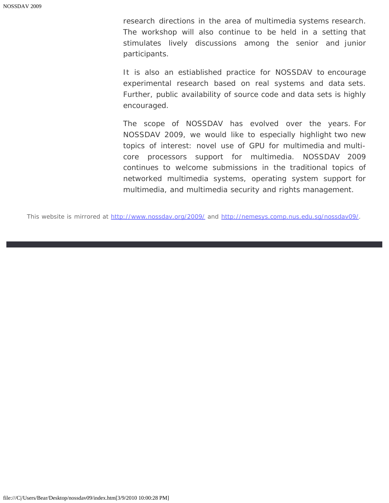research directions in the area of multimedia systems research. The workshop will also continue to be held in a setting that stimulates lively discussions among the senior and junior participants.

It is also an estiablished practice for NOSSDAV to encourage experimental research based on real systems and data sets. Further, public availability of source code and data sets is highly encouraged.

The scope of NOSSDAV has evolved over the years. For NOSSDAV 2009, we would like to especially highlight two new topics of interest: novel use of GPU for multimedia and multicore processors support for multimedia. NOSSDAV 2009 continues to welcome submissions in the traditional topics of networked multimedia systems, operating system support for multimedia, and multimedia security and rights management.

This website is mirrored at [http://www.nossdav.org/2009/](javascript:if(confirm() and [http://nemesys.comp.nus.edu.sg/nossdav09/](javascript:if(confirm().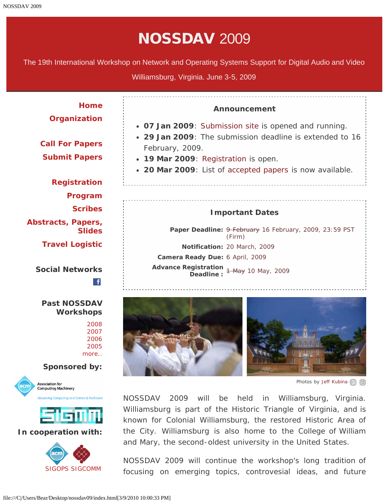# NOSSDAV 2009

<span id="page-2-0"></span>The 19th International Workshop on Network and Operating Systems Support for Digital Audio and Video

Williamsburg, Virginia. June 3-5, 2009

**[Home](#page-2-0) Announcement [Organization](#page-4-0) 07 Jan 2009**: [Submission site](javascript:if(confirm() is opened and running. **29 Jan 2009**: The submission deadline is extended to 16 **[Call For Papers](#page-6-0)** February, 2009. **[Submit Papers](javascript:if(confirm() 19 Mar 2009**: [Registration](#page-8-0) is open. **20 Mar 2009**: List of [accepted papers](#page-64-0) is now available. **[Registration](#page-8-0) [Program](#page-10-0) [Scribes](#page-18-0) Important Dates [Abstracts, Papers,](#page-39-0)** Paper Deadline: 9 February 16 February, 2009, 23:59 PST **[Slides](#page-39-0)** (Firm) **[Travel Logistic](#page-62-0) Notification:** 20 March, 2009 **Camera Ready Due:** 6 April, 2009 **Advance Registration Deadline :** 1 May 10 May, 2009 **Social Networks**  $\mathbf{f}$ **Past NOSSDAV Workshops** [2008](javascript:if(confirm() [2007](javascript:if(confirm()

[2006](javascript:if(confirm() [2005](javascript:if(confirm() [more..](javascript:if(confirm()

#### **Sponsored by:**





#### **In cooperation with:**





*Photos by [Jeff Kubina](javascript:if(confirm()*

NOSSDAV 2009 will be held in Williamsburg, Virginia. Williamsburg is part of the Historic Triangle of Virginia, and is known for Colonial Williamsburg, the restored Historic Area of the City. Williamsburg is also home to the College of William and Mary, the second-oldest university in the United States.

NOSSDAV 2009 will continue the workshop's long tradition of focusing on emerging topics, controvesial ideas, and future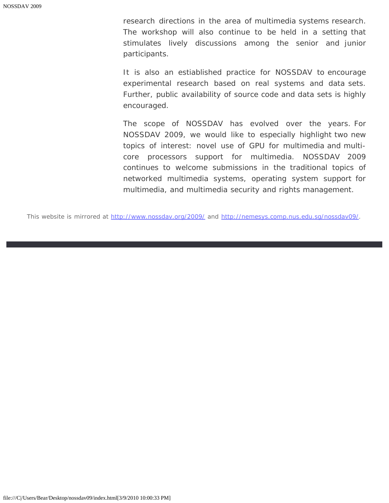research directions in the area of multimedia systems research. The workshop will also continue to be held in a setting that stimulates lively discussions among the senior and junior participants.

It is also an estiablished practice for NOSSDAV to encourage experimental research based on real systems and data sets. Further, public availability of source code and data sets is highly encouraged.

The scope of NOSSDAV has evolved over the years. For NOSSDAV 2009, we would like to especially highlight two new topics of interest: novel use of GPU for multimedia and multicore processors support for multimedia. NOSSDAV 2009 continues to welcome submissions in the traditional topics of networked multimedia systems, operating system support for multimedia, and multimedia security and rights management.

This website is mirrored at [http://www.nossdav.org/2009/](javascript:if(confirm() and [http://nemesys.comp.nus.edu.sg/nossdav09/](javascript:if(confirm().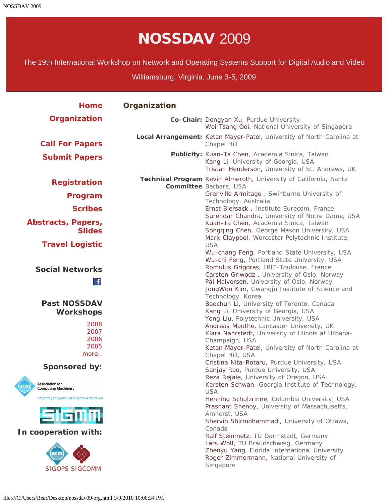# NOSSDAV 2009

<span id="page-4-0"></span>The 19th International Workshop on Network and Operating Systems Support for Digital Audio and Video

Williamsburg, Virginia. June 3-5, 2009

| <b>Home</b>                                            | Organization |                                                                                                                                                                                            |
|--------------------------------------------------------|--------------|--------------------------------------------------------------------------------------------------------------------------------------------------------------------------------------------|
| Organization                                           |              | Co-Chair: Dongyan Xu, Purdue University<br>Wei Tsang Ooi, National University of Singapore                                                                                                 |
| <b>Call For Papers</b>                                 |              | Local Arrangement: Ketan Mayer-Patel, University of North Carolina at<br>Chapel Hill                                                                                                       |
| <b>Submit Papers</b>                                   |              | Publicity: Kuan-Ta Chen, Academia Sinica, Taiwan<br>Kang Li, University of Georgia, USA<br>Tristan Henderson, University of St. Andrews, UK                                                |
| <b>Registration</b>                                    |              | Technical Program Kevin Almeroth, University of California, Santa<br>Committee Barbara, USA                                                                                                |
| Program                                                |              | Grenville Armitage, Swinburne University of                                                                                                                                                |
| <b>Scribes</b>                                         |              | Technology, Australia<br>Ernst Biersack, Institute Eurecom, France<br>Surendar Chandra, University of Notre Dame, USA                                                                      |
| Abstracts, Papers,<br><b>Slides</b>                    |              | Kuan-Ta Chen, Academia Sinica, Taiwan<br>Songqing Chen, George Mason University, USA<br>Mark Claypool, Worcester Polytechnic Institute,                                                    |
| <b>Travel Logistic</b>                                 |              | <b>USA</b><br>Wu-chang Feng, Portland State University, USA<br>Wu-chi Feng, Portland State University, USA                                                                                 |
| <b>Social Networks</b><br>$\mathbf{f}$                 |              | Romulus Grigoras, IRIT-Toulouse, France<br>Carsten Griwodz, University of Oslo, Norway<br>Pål Halvorsen, University of Oslo, Norway<br>JongWon Kim, Gwangju Institute of Science and       |
| <b>Past NOSSDAV</b><br><b>Workshops</b>                |              | Technology, Korea<br>Baochun Li, University of Toronto, Canada<br>Kang Li, University of Georgia, USA<br>Yong Liu, Polytechnic University, USA                                             |
| 2008<br>2007<br>2006<br>2005<br>more                   |              | Andreas Mauthe, Lancaster University, UK<br>Klara Nahrstedt, University of Illinois at Urbana-<br>Champaign, USA<br>Ketan Mayer-Patel, University of North Carolina at<br>Chapel Hill, USA |
| <b>Sponsored by:</b>                                   |              | Cristina Nita-Rotaru, Purdue University, USA<br>Sanjay Rao, Purdue University, USA                                                                                                         |
| <b>Association for</b><br><b>Computing Machinery</b>   |              | Reza Rejaie, University of Oregon, USA<br>Karsten Schwan, Georgia Institute of Technology,<br><b>USA</b>                                                                                   |
| Advancing Computing as a Science & Profession<br>SiGMM |              | Henning Schulzrinne, Columbia University, USA<br>Prashant Shenoy, University of Massachusetts,<br>Amherst, USA<br>Shervin Shirmohammadi, University of Ottawa,                             |
| In cooperation with:                                   |              | Canada<br>Ralf Steinmetz, TU Darmstadt, Germany                                                                                                                                            |
| acm<br><b>SIGOPS SIGCOMM</b>                           |              | Lars Wolf, TU Braunschweig, Germany<br>Zhenyu Yang, Florida International University<br>Roger Zimmermann, National University of<br>Singapore                                              |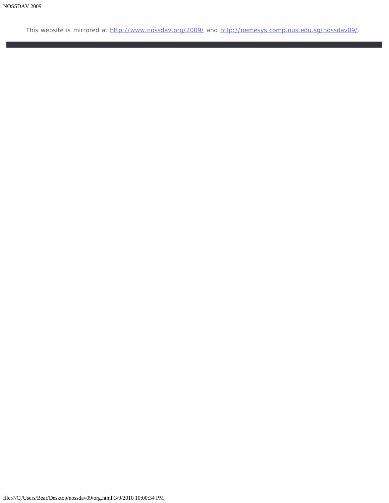This website is mirrored at [http://www.nossdav.org/2009/](javascript:if(confirm() and [http://nemesys.comp.nus.edu.sg/nossdav09/](javascript:if(confirm().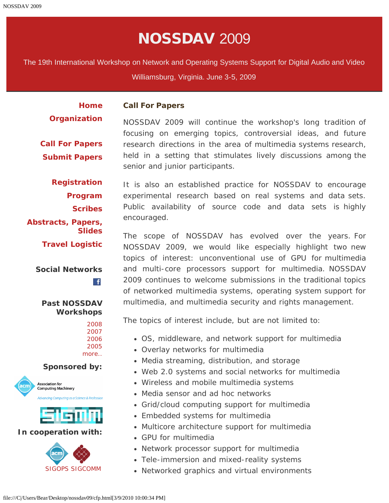# NOSSDAV 2009

<span id="page-6-0"></span>The 19th International Workshop on Network and Operating Systems Support for Digital Audio and Video

Williamsburg, Virginia. June 3-5, 2009

**[Home](#page-2-0) [Organization](#page-4-0)**

#### **Call For Papers**

encouraged.

**[Call For Papers](#page-6-0) [Submit Papers](javascript:if(confirm()** NOSSDAV 2009 will continue the workshop's long tradition of focusing on emerging topics, controversial ideas, and future research directions in the area of multimedia systems research, held in a setting that stimulates lively discussions among the senior and junior participants.

**[Registration](#page-8-0) [Program](#page-10-0) [Scribes](#page-18-0) [Abstracts, Papers,](#page-39-0) [Slides](#page-39-0) [Travel Logistic](#page-62-0)**

> **Social Networks**  $\mathbf{f}$

**Past NOSSDAV Workshops**

#### **Sponsored by:**





#### **In cooperation with:**



It is also an established practice for NOSSDAV to encourage experimental research based on real systems and data sets. Public availability of source code and data sets is highly

The scope of NOSSDAV has evolved over the years. For NOSSDAV 2009, we would like especially highlight two new topics of interest: unconventional use of GPU for multimedia and multi-core processors support for multimedia. NOSSDAV 2009 continues to welcome submissions in the traditional topics of networked multimedia systems, operating system support for multimedia, and multimedia security and rights management.

The topics of interest include, but are not limited to:

- OS, middleware, and network support for multimedia
- Overlay networks for multimedia
- Media streaming, distribution, and storage
- Web 2.0 systems and social networks for multimedia
- Wireless and mobile multimedia systems
- Media sensor and ad hoc networks
- Grid/cloud computing support for multimedia
- Embedded systems for multimedia
- Multicore architecture support for multimedia
- GPU for multimedia
- Network processor support for multimedia
- Tele-immersion and mixed-reality systems
- Networked graphics and virtual environments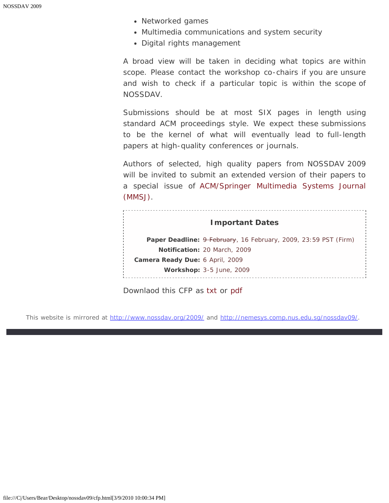- Networked games
- Multimedia communications and system security
- Digital rights management

A broad view will be taken in deciding what topics are within scope. Please contact the workshop co-chairs if you are unsure and wish to check if a particular topic is within the scope of NOSSDAV.

Submissions should be at most SIX pages in length using standard ACM proceedings style. We expect these submissions to be the kernel of what will eventually lead to full-length papers at high-quality conferences or journals.

Authors of selected, high quality papers from NOSSDAV 2009 will be invited to submit an extended version of their papers to a special issue of [ACM/Springer Multimedia Systems Journal](javascript:if(confirm() [\(MMSJ\)](javascript:if(confirm().

|                                 | <b>Important Dates</b>                                                 |
|---------------------------------|------------------------------------------------------------------------|
|                                 | <b>Paper Deadline: 9 February, 16 February, 2009, 23:59 PST (Firm)</b> |
|                                 | <b>Notification: 20 March, 2009</b>                                    |
| Camera Ready Due: 6 April, 2009 |                                                                        |
|                                 | Workshop: 3-5 June, 2009                                               |
|                                 |                                                                        |

Downlaod this CFP as [txt](#page-66-0) or [pdf](#page-69-0)

This website is mirrored at [http://www.nossdav.org/2009/](javascript:if(confirm() and [http://nemesys.comp.nus.edu.sg/nossdav09/](javascript:if(confirm().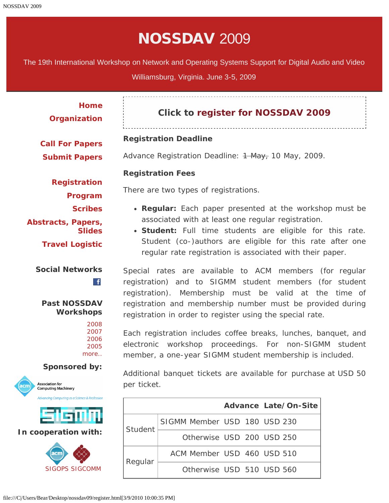# NOSSDAV 2009

<span id="page-8-0"></span>The 19th International Workshop on Network and Operating Systems Support for Digital Audio and Video

Williamsburg, Virginia. June 3-5, 2009

**[Home](#page-2-0) [Organization](#page-4-0)**

# **Click to [register for NOSSDAV 2009](javascript:if(confirm()**

#### **Registration Deadline**

**[Call For Papers](#page-6-0) [Submit Papers](javascript:if(confirm()**

**[Registration](#page-8-0)**

Advance Registration Deadline: <del>1 May,</del> 10 May, 2009.

#### **Registration Fees**

There are two types of registrations.

- **Regular:** Each paper presented at the workshop must be associated with at least one regular registration.
- **Student:** Full time students are eligible for this rate. Student (co-)authors are eligible for this rate after one regular rate registration is associated with their paper.

Special rates are available to ACM members (for regular registration) and to SIGMM student members (for student registration). Membership must be valid at the time of registration and membership number must be provided during registration in order to register using the special rate.

Each registration includes coffee breaks, lunches, banquet, and electronic workshop proceedings. For non-SIGMM student member, a one-year SIGMM student membership is included.

Additional banquet tickets are available for purchase at USD 50 per ticket.

|         |                              |  | <b>Advance Late/On-Site</b> |
|---------|------------------------------|--|-----------------------------|
| Student | SIGMM Member USD 180 USD 230 |  |                             |
|         | Otherwise USD 200 USD 250    |  |                             |
|         | ACM Member USD 460 USD 510   |  |                             |
| Regular | Otherwise USD 510 USD 560    |  |                             |

**[Program](#page-10-0) [Scribes](#page-18-0) [Abstracts, Papers,](#page-39-0) [Slides](#page-39-0) [Travel Logistic](#page-62-0)**

# **Social Networks**

**Past NOSSDAV Workshops**

 $\mathbf{f}$ 

#### **Sponsored by:**



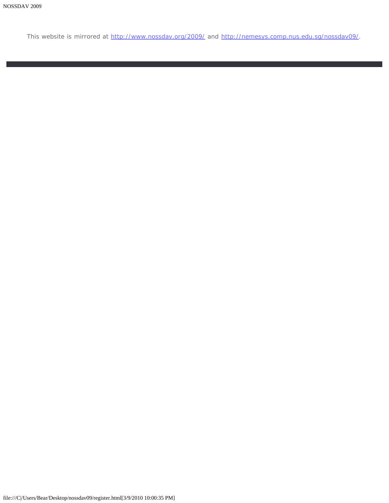This website is mirrored at [http://www.nossdav.org/2009/](javascript:if(confirm() and [http://nemesys.comp.nus.edu.sg/nossdav09/](javascript:if(confirm().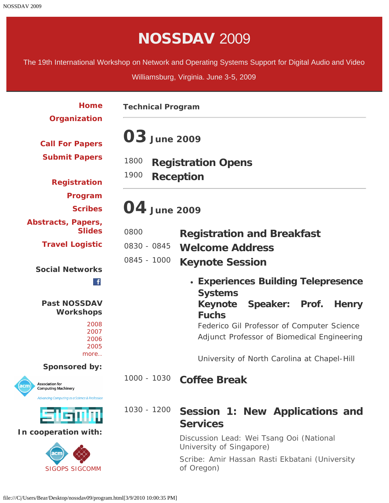# NOSSDAV 2009

<span id="page-10-0"></span>The 19th International Workshop on Network and Operating Systems Support for Digital Audio and Video

Williamsburg, Virginia. June 3-5, 2009

| Home<br>Organization                                         | <b>Technical Program</b>                                      |                                                                                           |  |
|--------------------------------------------------------------|---------------------------------------------------------------|-------------------------------------------------------------------------------------------|--|
| <b>Call For Papers</b>                                       | <b>03</b> June 2009                                           |                                                                                           |  |
| <b>Submit Papers</b>                                         | 1800<br><b>Registration Opens</b><br>1900<br><b>Reception</b> |                                                                                           |  |
| <b>Registration</b>                                          |                                                               |                                                                                           |  |
| Program<br><b>Scribes</b>                                    | 04 June 2009                                                  |                                                                                           |  |
| <b>Abstracts, Papers,</b>                                    |                                                               |                                                                                           |  |
| <b>Slides</b>                                                | 0800                                                          | <b>Registration and Breakfast</b>                                                         |  |
| <b>Travel Logistic</b>                                       | 0830 - 0845                                                   | <b>Welcome Address</b>                                                                    |  |
| <b>Social Networks</b>                                       | 0845 - 1000                                                   | <b>Keynote Session</b>                                                                    |  |
| $\mathbf{f}$                                                 |                                                               | • Experiences Building Telepresence<br><b>Systems</b>                                     |  |
| <b>Past NOSSDAV</b><br><b>Workshops</b>                      |                                                               | Keynote<br>Speaker: Prof.<br><b>Henry</b><br><b>Fuchs</b>                                 |  |
| 2008<br>2007<br>2006<br>2005                                 |                                                               | Federico Gil Professor of Computer Science<br>Adjunct Professor of Biomedical Engineering |  |
| more                                                         |                                                               | University of North Carolina at Chapel-Hill                                               |  |
| <b>Sponsored by:</b>                                         | 1000 - 1030                                                   |                                                                                           |  |
| <b>Association for</b><br>acm)<br><b>Computing Machinery</b> |                                                               | <b>Coffee Break</b>                                                                       |  |
| <b>Advancing Computing as a Science &amp; Profession</b>     |                                                               |                                                                                           |  |
| 与估价的                                                         | 1030 - 1200                                                   | Session 1: New Applications and<br><b>Services</b>                                        |  |
| In cooperation with:                                         |                                                               | Discussion Lead: Wei Tsang Ooi (National<br>University of Singapore)                      |  |
| icm<br><b>SIGOPS SIGCOMM</b>                                 |                                                               | Scribe: Amir Hassan Rasti Ekbatani (University<br>of Oregon)                              |  |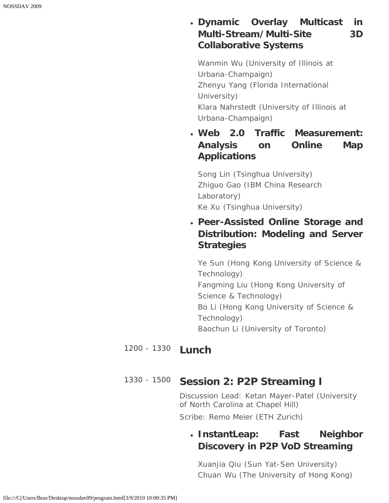# **Dynamic Overlay Multicast in Multi-Stream/Multi-Site 3D Collaborative Systems**

*Wanmin Wu (University of Illinois at Urbana-Champaign) Zhenyu Yang (Florida International University) Klara Nahrstedt (University of Illinois at Urbana-Champaign)*

**Web 2.0 Traffic Measurement: Analysis on Online Map Applications**

*Song Lin (Tsinghua University) Zhiguo Gao (IBM China Research Laboratory) Ke Xu (Tsinghua University)*

**Peer-Assisted Online Storage and Distribution: Modeling and Server Strategies**

*Ye Sun (Hong Kong University of Science & Technology) Fangming Liu (Hong Kong University of Science & Technology) Bo Li (Hong Kong University of Science & Technology) Baochun Li (University of Toronto)*

#### 1200 - 1330 **Lunch**

## 1330 - 1500 **Session 2: P2P Streaming I**

*Discussion Lead: Ketan Mayer-Patel (University of North Carolina at Chapel Hill)*

*Scribe: Remo Meier (ETH Zurich)*

# **InstantLeap: Fast Neighbor Discovery in P2P VoD Streaming**

*Xuanjia Qiu (Sun Yat-Sen University) Chuan Wu (The University of Hong Kong)*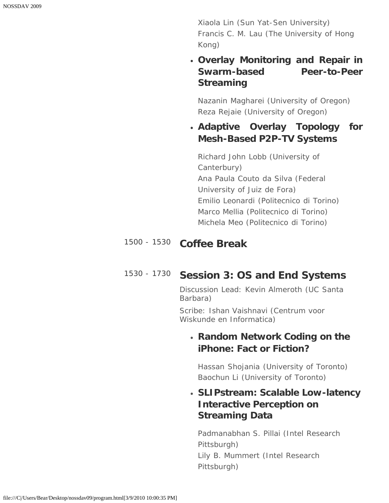*Xiaola Lin (Sun Yat-Sen University) Francis C. M. Lau (The University of Hong Kong)*

## **Overlay Monitoring and Repair in Swarm-based Peer-to-Peer Streaming**

*Nazanin Magharei (University of Oregon) Reza Rejaie (University of Oregon)*

## **Adaptive Overlay Topology for Mesh-Based P2P-TV Systems**

*Richard John Lobb (University of Canterbury) Ana Paula Couto da Silva (Federal University of Juiz de Fora) Emilio Leonardi (Politecnico di Torino) Marco Mellia (Politecnico di Torino) Michela Meo (Politecnico di Torino)*

# 1500 - 1530 **Coffee Break**

# 1530 - 1730 **Session 3: OS and End Systems**

*Discussion Lead: Kevin Almeroth (UC Santa Barbara)*

*Scribe: Ishan Vaishnavi (Centrum voor Wiskunde en Informatica)*

## *Random Network Coding on the iPhone: Fact or Fiction?*

*Hassan Shojania (University of Toronto) Baochun Li (University of Toronto)*

## *SLIPstream: Scalable Low-latency Interactive Perception on Streaming Data*

*Padmanabhan S. Pillai (Intel Research Pittsburgh) Lily B. Mummert (Intel Research Pittsburgh)*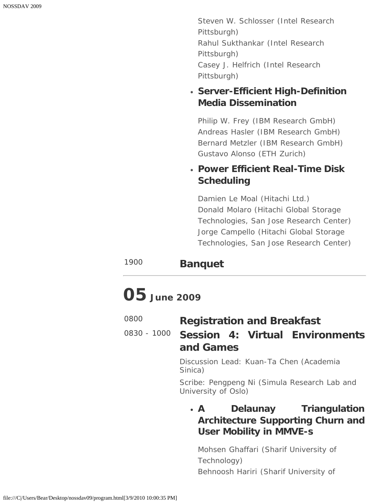*Steven W. Schlosser (Intel Research Pittsburgh) Rahul Sukthankar (Intel Research Pittsburgh) Casey J. Helfrich (Intel Research Pittsburgh)*

### *Server-Efficient High-Definition Media Dissemination*

*Philip W. Frey (IBM Research GmbH) Andreas Hasler (IBM Research GmbH) Bernard Metzler (IBM Research GmbH) Gustavo Alonso (ETH Zurich)*

## *Power Efficient Real-Time Disk Scheduling*

*Damien Le Moal (Hitachi Ltd.) Donald Molaro (Hitachi Global Storage Technologies, San Jose Research Center) Jorge Campello (Hitachi Global Storage Technologies, San Jose Research Center)*

# <sup>1900</sup> **Banquet**

# **05 June 2009**

| 0800 | <b>Registration and Breakfast</b> |
|------|-----------------------------------|
|------|-----------------------------------|

# 0830 - 1000 **Session 4: Virtual Environments and Games**

*Discussion Lead: Kuan-Ta Chen (Academia Sinica)*

*Scribe: Pengpeng Ni (Simula Research Lab and University of Oslo)*

# **A Delaunay Triangulation Architecture Supporting Churn and User Mobility in MMVE-s**

*Mohsen Ghaffari (Sharif University of Technology) Behnoosh Hariri (Sharif University of*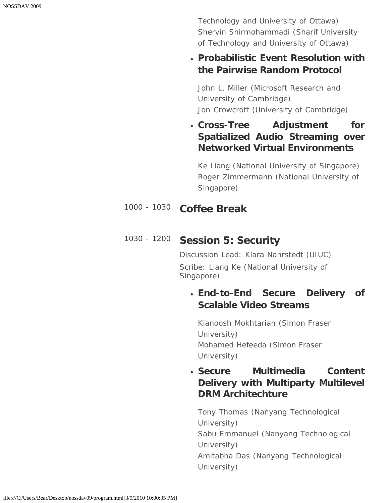*Technology and University of Ottawa) Shervin Shirmohammadi (Sharif University of Technology and University of Ottawa)*

### **Probabilistic Event Resolution with the Pairwise Random Protocol**

*John L. Miller (Microsoft Research and University of Cambridge) Jon Crowcroft (University of Cambridge)*

**Cross-Tree Adjustment for Spatialized Audio Streaming over Networked Virtual Environments**

*Ke Liang (National University of Singapore) Roger Zimmermann (National University of Singapore)*

## 1000 - 1030 **Coffee Break**

# 1030 - 1200 **Session 5: Security**

*Discussion Lead: Klara Nahrstedt (UIUC) Scribe: Liang Ke (National University of Singapore)*

# **End-to-End Secure Delivery of Scalable Video Streams**

*Kianoosh Mokhtarian (Simon Fraser University) Mohamed Hefeeda (Simon Fraser University)*

# **Secure Multimedia Content Delivery with Multiparty Multilevel DRM Architechture**

*Tony Thomas (Nanyang Technological University) Sabu Emmanuel (Nanyang Technological University) Amitabha Das (Nanyang Technological University)*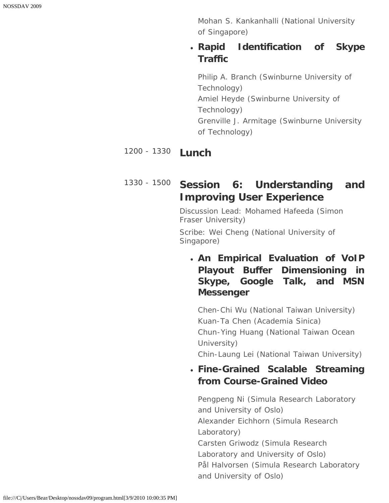*Mohan S. Kankanhalli (National University of Singapore)*

## **Rapid Identification of Skype Traffic**

*Philip A. Branch (Swinburne University of Technology) Amiel Heyde (Swinburne University of Technology) Grenville J. Armitage (Swinburne University of Technology)*

# 1200 - 1330 **Lunch**

# 1330 - 1500 **Session 6: Understanding and Improving User Experience**

*Discussion Lead: Mohamed Hafeeda (Simon Fraser University)*

*Scribe: Wei Cheng (National University of Singapore)*

# **An Empirical Evaluation of VoIP Playout Buffer Dimensioning in Skype, Google Talk, and MSN Messenger**

*Chen-Chi Wu (National Taiwan University) Kuan-Ta Chen (Academia Sinica) Chun-Ying Huang (National Taiwan Ocean University) Chin-Laung Lei (National Taiwan University)*

## **Fine-Grained Scalable Streaming from Course-Grained Video**

*Pengpeng Ni (Simula Research Laboratory and University of Oslo) Alexander Eichhorn (Simula Research Laboratory) Carsten Griwodz (Simula Research Laboratory and University of Oslo) Pål Halvorsen (Simula Research Laboratory and University of Oslo)*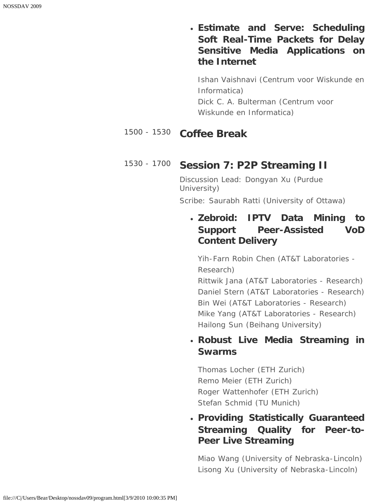**Estimate and Serve: Scheduling Soft Real-Time Packets for Delay Sensitive Media Applications on the Internet**

*Ishan Vaishnavi (Centrum voor Wiskunde en Informatica) Dick C. A. Bulterman (Centrum voor Wiskunde en Informatica)*

#### 1500 - 1530 **Coffee Break**

### 1530 - 1700 **Session 7: P2P Streaming II**

*Discussion Lead: Dongyan Xu (Purdue University) Scribe: Saurabh Ratti (University of Ottawa)*

## **Zebroid: IPTV Data Mining to Support Peer-Assisted VoD Content Delivery**

*Yih-Farn Robin Chen (AT&T Laboratories - Research)*

*Rittwik Jana (AT&T Laboratories - Research) Daniel Stern (AT&T Laboratories - Research) Bin Wei (AT&T Laboratories - Research) Mike Yang (AT&T Laboratories - Research) Hailong Sun (Beihang University)*

### **Robust Live Media Streaming in Swarms**

*Thomas Locher (ETH Zurich) Remo Meier (ETH Zurich) Roger Wattenhofer (ETH Zurich) Stefan Schmid (TU Munich)*

## **Providing Statistically Guaranteed Streaming Quality for Peer-to-Peer Live Streaming**

*Miao Wang (University of Nebraska-Lincoln) Lisong Xu (University of Nebraska-Lincoln)*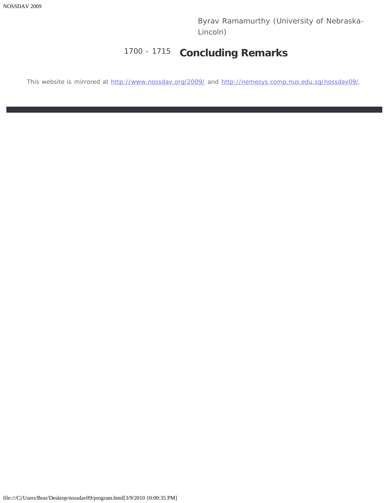*Byrav Ramamurthy (University of Nebraska-Lincoln)*

# 1700 - 1715 **Concluding Remarks**

This website is mirrored at [http://www.nossdav.org/2009/](javascript:if(confirm() and [http://nemesys.comp.nus.edu.sg/nossdav09/](javascript:if(confirm().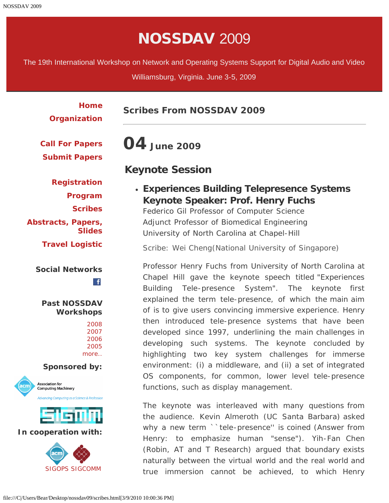# NOSSDAV 2009

<span id="page-18-0"></span>The 19th International Workshop on Network and Operating Systems Support for Digital Audio and Video

Williamsburg, Virginia. June 3-5, 2009

| <b>Home</b><br>Organization                                                                                                   | <b>Scribes From NOSSDAV 2009</b>                                                                                                                                                                                                          |
|-------------------------------------------------------------------------------------------------------------------------------|-------------------------------------------------------------------------------------------------------------------------------------------------------------------------------------------------------------------------------------------|
| <b>Call For Papers</b><br><b>Submit Papers</b>                                                                                | 04 June 2009                                                                                                                                                                                                                              |
| <b>Registration</b><br>Program                                                                                                | <b>Keynote Session</b><br>• Experiences Building Telepresence Systems<br>Keynote Speaker: Prof. Henry Fuchs                                                                                                                               |
| <b>Scribes</b><br><b>Abstracts, Papers,</b><br><b>Slides</b>                                                                  | Federico Gil Professor of Computer Science<br>Adjunct Professor of Biomedical Engineering<br>University of North Carolina at Chapel-Hill                                                                                                  |
| <b>Travel Logistic</b>                                                                                                        | Scribe: Wei Cheng (National University of Singapore)                                                                                                                                                                                      |
| <b>Social Networks</b><br>$\mathbf{f}$                                                                                        | Professor Henry Fuchs from University of North Carolina at<br>Chapel Hill gave the keynote speech titled "Experiences<br>Tele-presence System". The keynote<br><b>Building</b><br>first                                                   |
| <b>Past NOSSDAV</b><br><b>Workshops</b><br>2008<br>2007<br>2006                                                               | explained the term tele-presence, of which the main aim<br>of is to give users convincing immersive experience. Henry<br>then introduced tele-presence systems that have been<br>developed since 1997, underlining the main challenges in |
| 2005<br>more                                                                                                                  | developing such systems. The keynote concluded by<br>highlighting two key system challenges for immerse                                                                                                                                   |
| <b>Sponsored by:</b><br><b>Association for</b><br><b>Computing Machinery</b><br>Advancing Computing as a Science & Profession | environment: (i) a middleware, and (ii) a set of integrated<br>OS components, for common, lower level tele-presence<br>functions, such as display management.                                                                             |
| sısmn<br>In cooperation with:                                                                                                 | The keynote was interleaved with many questions from<br>the audience. Kevin Almeroth (UC Santa Barbara) asked<br>why a new term ``tele-presence" is coined (Answer from                                                                   |
| acm<br><b>SIGOPS SIGCOMM</b>                                                                                                  | Henry: to emphasize human "sense"). Yih-Fan Chen<br>(Robin, AT and T Research) argued that boundary exists<br>naturally between the virtual world and the real world and<br>true immersion cannot be achieved, to which Henry             |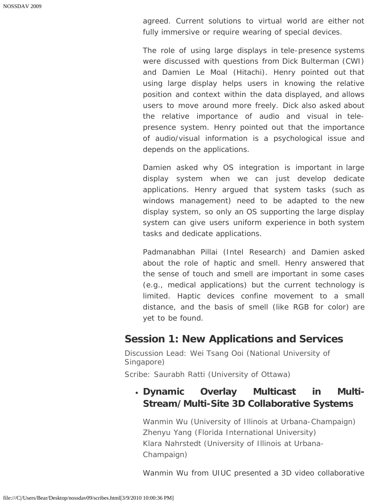agreed. Current solutions to virtual world are either not fully immersive or require wearing of special devices.

The role of using large displays in tele-presence systems were discussed with questions from Dick Bulterman (CWI) and Damien Le Moal (Hitachi). Henry pointed out that using large display helps users in knowing the relative position and context within the data displayed, and allows users to move around more freely. Dick also asked about the relative importance of audio and visual in telepresence system. Henry pointed out that the importance of audio/visual information is a psychological issue and depends on the applications.

Damien asked why OS integration is important in large display system when we can just develop dedicate applications. Henry argued that system tasks (such as windows management) need to be adapted to the new display system, so only an OS supporting the large display system can give users uniform experience in both system tasks and dedicate applications.

Padmanabhan Pillai (Intel Research) and Damien asked about the role of haptic and smell. Henry answered that the sense of touch and smell are important in some cases (e.g., medical applications) but the current technology is limited. Haptic devices confine movement to a small distance, and the basis of smell (like RGB for color) are yet to be found.

#### **Session 1: New Applications and Services**

*Discussion Lead: Wei Tsang Ooi (National University of Singapore) Scribe: Saurabh Ratti (University of Ottawa)*

## **Dynamic Overlay Multicast in Multi-Stream/Multi-Site 3D Collaborative Systems**

*Wanmin Wu (University of Illinois at Urbana-Champaign) Zhenyu Yang (Florida International University) Klara Nahrstedt (University of Illinois at Urbana-Champaign)*

Wanmin Wu from UIUC presented a 3D video collaborative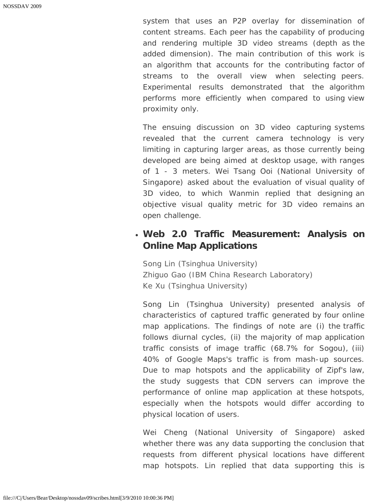system that uses an P2P overlay for dissemination of content streams. Each peer has the capability of producing and rendering multiple 3D video streams (depth as the added dimension). The main contribution of this work is an algorithm that accounts for the contributing factor of streams to the overall view when selecting peers. Experimental results demonstrated that the algorithm performs more efficiently when compared to using view proximity only.

The ensuing discussion on 3D video capturing systems revealed that the current camera technology is very limiting in capturing larger areas, as those currently being developed are being aimed at desktop usage, with ranges of 1 - 3 meters. Wei Tsang Ooi (National University of Singapore) asked about the evaluation of visual quality of 3D video, to which Wanmin replied that designing an objective visual quality metric for 3D video remains an open challenge.

### **Web 2.0 Traffic Measurement: Analysis on Online Map Applications**

*Song Lin (Tsinghua University) Zhiguo Gao (IBM China Research Laboratory) Ke Xu (Tsinghua University)*

Song Lin (Tsinghua University) presented analysis of characteristics of captured traffic generated by four online map applications. The findings of note are (i) the traffic follows diurnal cycles, (ii) the majority of map application traffic consists of image traffic (68.7% for Sogou), (iii) 40% of Google Maps's traffic is from mash-up sources. Due to map hotspots and the applicability of Zipf's law, the study suggests that CDN servers can improve the performance of online map application at these hotspots, especially when the hotspots would differ according to physical location of users.

Wei Cheng (National University of Singapore) asked whether there was any data supporting the conclusion that requests from different physical locations have different map hotspots. Lin replied that data supporting this is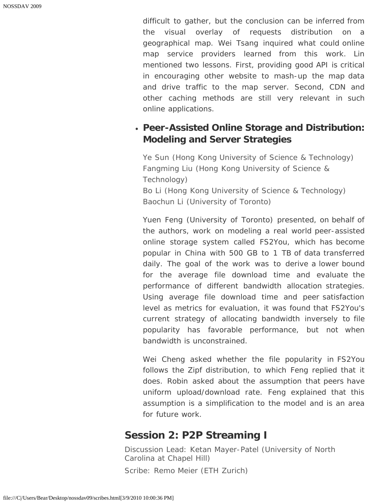difficult to gather, but the conclusion can be inferred from the visual overlay of requests distribution on a geographical map. Wei Tsang inquired what could online map service providers learned from this work. Lin mentioned two lessons. First, providing good API is critical in encouraging other website to mash-up the map data and drive traffic to the map server. Second, CDN and other caching methods are still very relevant in such online applications.

### **Peer-Assisted Online Storage and Distribution: Modeling and Server Strategies**

*Ye Sun (Hong Kong University of Science & Technology) Fangming Liu (Hong Kong University of Science & Technology) Bo Li (Hong Kong University of Science & Technology) Baochun Li (University of Toronto)*

Yuen Feng (University of Toronto) presented, on behalf of the authors, work on modeling a real world peer-assisted online storage system called FS2You, which has become popular in China with 500 GB to 1 TB of data transferred daily. The goal of the work was to derive a lower bound for the average file download time and evaluate the performance of different bandwidth allocation strategies. Using average file download time and peer satisfaction level as metrics for evaluation, it was found that FS2You's current strategy of allocating bandwidth inversely to file popularity has favorable performance, but not when bandwidth is unconstrained.

Wei Cheng asked whether the file popularity in FS2You follows the Zipf distribution, to which Feng replied that it does. Robin asked about the assumption that peers have uniform upload/download rate. Feng explained that this assumption is a simplification to the model and is an area for future work.

## **Session 2: P2P Streaming I**

*Discussion Lead: Ketan Mayer-Patel (University of North Carolina at Chapel Hill) Scribe: Remo Meier (ETH Zurich)*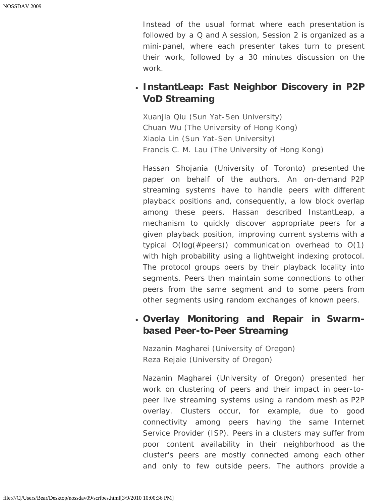Instead of the usual format where each presentation is followed by a Q and A session, Session 2 is organized as a mini-panel, where each presenter takes turn to present their work, followed by a 30 minutes discussion on the work.

## **InstantLeap: Fast Neighbor Discovery in P2P VoD Streaming**

*Xuanjia Qiu (Sun Yat-Sen University) Chuan Wu (The University of Hong Kong) Xiaola Lin (Sun Yat-Sen University) Francis C. M. Lau (The University of Hong Kong)*

Hassan Shojania (University of Toronto) presented the paper on behalf of the authors. An on-demand P2P streaming systems have to handle peers with different playback positions and, consequently, a low block overlap among these peers. Hassan described InstantLeap, a mechanism to quickly discover appropriate peers for a given playback position, improving current systems with a typical O(log(#peers)) communication overhead to O(1) with high probability using a lightweight indexing protocol. The protocol groups peers by their playback locality into segments. Peers then maintain some connections to other peers from the same segment and to some peers from other segments using random exchanges of known peers.

### **Overlay Monitoring and Repair in Swarmbased Peer-to-Peer Streaming**

*Nazanin Magharei (University of Oregon) Reza Rejaie (University of Oregon)*

Nazanin Magharei (University of Oregon) presented her work on clustering of peers and their impact in peer-topeer live streaming systems using a random mesh as P2P overlay. Clusters occur, for example, due to good connectivity among peers having the same Internet Service Provider (ISP). Peers in a clusters may suffer from poor content availability in their neighborhood as the cluster's peers are mostly connected among each other and only to few outside peers. The authors provide a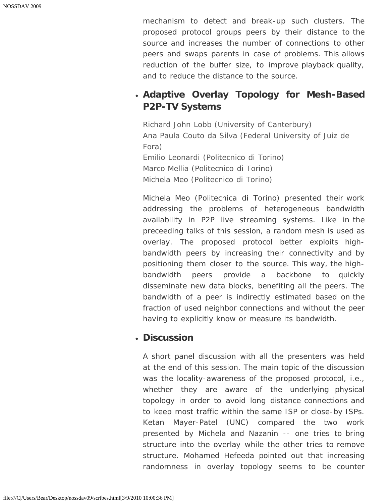mechanism to detect and break-up such clusters. The proposed protocol groups peers by their distance to the source and increases the number of connections to other peers and swaps parents in case of problems. This allows reduction of the buffer size, to improve playback quality, and to reduce the distance to the source.

# **Adaptive Overlay Topology for Mesh-Based P2P-TV Systems**

*Richard John Lobb (University of Canterbury) Ana Paula Couto da Silva (Federal University of Juiz de Fora) Emilio Leonardi (Politecnico di Torino) Marco Mellia (Politecnico di Torino) Michela Meo (Politecnico di Torino)*

Michela Meo (Politecnica di Torino) presented their work addressing the problems of heterogeneous bandwidth availability in P2P live streaming systems. Like in the preceeding talks of this session, a random mesh is used as overlay. The proposed protocol better exploits highbandwidth peers by increasing their connectivity and by positioning them closer to the source. This way, the highbandwidth peers provide a backbone to quickly disseminate new data blocks, benefiting all the peers. The bandwidth of a peer is indirectly estimated based on the fraction of used neighbor connections and without the peer having to explicitly know or measure its bandwidth.

#### **Discussion**

A short panel discussion with all the presenters was held at the end of this session. The main topic of the discussion was the locality-awareness of the proposed protocol, i.e., whether they are aware of the underlying physical topology in order to avoid long distance connections and to keep most traffic within the same ISP or close-by ISPs. Ketan Mayer-Patel (UNC) compared the two work presented by Michela and Nazanin -- one tries to bring structure into the overlay while the other tries to remove structure. Mohamed Hefeeda pointed out that increasing randomness in overlay topology seems to be counter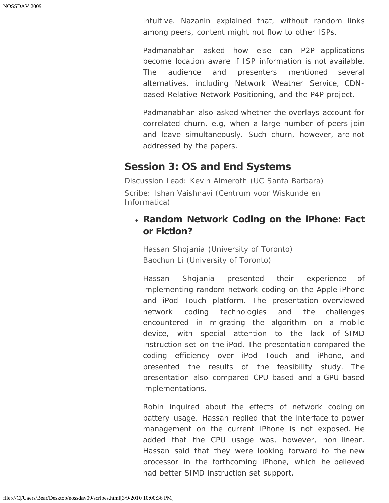intuitive. Nazanin explained that, without random links among peers, content might not flow to other ISPs.

Padmanabhan asked how else can P2P applications become location aware if ISP information is not available. The audience and presenters mentioned several alternatives, including Network Weather Service, CDNbased Relative Network Positioning, and the P4P project.

Padmanabhan also asked whether the overlays account for correlated churn, e.g, when a large number of peers join and leave simultaneously. Such churn, however, are not addressed by the papers.

## **Session 3: OS and End Systems**

*Discussion Lead: Kevin Almeroth (UC Santa Barbara) Scribe: Ishan Vaishnavi (Centrum voor Wiskunde en Informatica)*

## **Random Network Coding on the iPhone: Fact or Fiction?**

*Hassan Shojania (University of Toronto) Baochun Li (University of Toronto)*

Hassan Shojania presented their experience of implementing random network coding on the Apple iPhone and iPod Touch platform. The presentation overviewed network coding technologies and the challenges encountered in migrating the algorithm on a mobile device, with special attention to the lack of SIMD instruction set on the iPod. The presentation compared the coding efficiency over iPod Touch and iPhone, and presented the results of the feasibility study. The presentation also compared CPU-based and a GPU-based implementations.

Robin inquired about the effects of network coding on battery usage. Hassan replied that the interface to power management on the current iPhone is not exposed. He added that the CPU usage was, however, non linear. Hassan said that they were looking forward to the new processor in the forthcoming iPhone, which he believed had better SIMD instruction set support.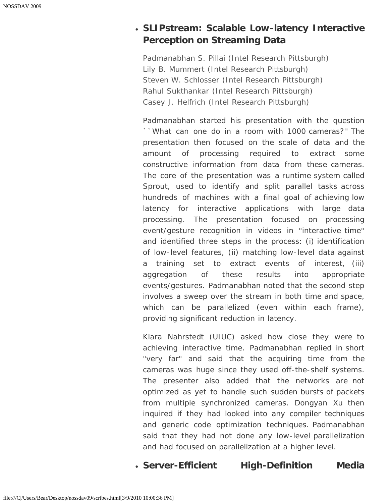# **SLIPstream: Scalable Low-latency Interactive Perception on Streaming Data**

*Padmanabhan S. Pillai (Intel Research Pittsburgh) Lily B. Mummert (Intel Research Pittsburgh) Steven W. Schlosser (Intel Research Pittsburgh) Rahul Sukthankar (Intel Research Pittsburgh) Casey J. Helfrich (Intel Research Pittsburgh)*

Padmanabhan started his presentation with the question ``What can one do in a room with 1000 cameras?'' The presentation then focused on the scale of data and the amount of processing required to extract some constructive information from data from these cameras. The core of the presentation was a runtime system called Sprout, used to identify and split parallel tasks across hundreds of machines with a final goal of achieving low latency for interactive applications with large data processing. The presentation focused on processing event/gesture recognition in videos in "interactive time" and identified three steps in the process: (i) identification of low-level features, (ii) matching low-level data against a training set to extract events of interest, (iii) aggregation of these results into appropriate events/gestures. Padmanabhan noted that the second step involves a sweep over the stream in both time and space, which can be parallelized (even within each frame), providing significant reduction in latency.

Klara Nahrstedt (UIUC) asked how close they were to achieving interactive time. Padmanabhan replied in short "very far" and said that the acquiring time from the cameras was huge since they used off-the-shelf systems. The presenter also added that the networks are not optimized as yet to handle such sudden bursts of packets from multiple synchronized cameras. Dongyan Xu then inquired if they had looked into any compiler techniques and generic code optimization techniques. Padmanabhan said that they had not done any low-level parallelization and had focused on parallelization at a higher level.

**Server-Efficient High-Definition Media**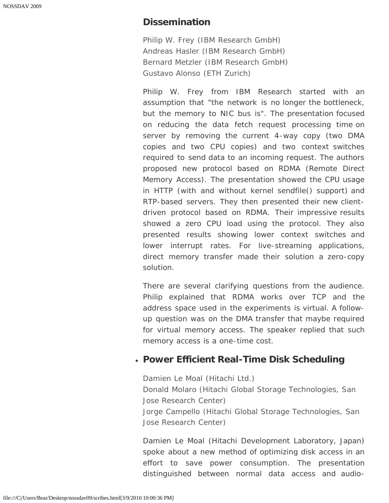#### **Dissemination**

*Philip W. Frey (IBM Research GmbH) Andreas Hasler (IBM Research GmbH) Bernard Metzler (IBM Research GmbH) Gustavo Alonso (ETH Zurich)*

Philip W. Frey from IBM Research started with an assumption that "the network is no longer the bottleneck, but the memory to NIC bus is". The presentation focused on reducing the data fetch request processing time on server by removing the current 4-way copy (two DMA copies and two CPU copies) and two context switches required to send data to an incoming request. The authors proposed new protocol based on RDMA (Remote Direct Memory Access). The presentation showed the CPU usage in HTTP (with and without kernel sendfile() support) and RTP-based servers. They then presented their new clientdriven protocol based on RDMA. Their impressive results showed a zero CPU load using the protocol. They also presented results showing lower context switches and lower interrupt rates. For live-streaming applications, direct memory transfer made their solution a zero-copy solution.

There are several clarifying questions from the audience. Philip explained that RDMA works over TCP and the address space used in the experiments is virtual. A followup question was on the DMA transfer that maybe required for virtual memory access. The speaker replied that such memory access is a one-time cost.

#### **Power Efficient Real-Time Disk Scheduling**

*Damien Le Moal (Hitachi Ltd.) Donald Molaro (Hitachi Global Storage Technologies, San Jose Research Center) Jorge Campello (Hitachi Global Storage Technologies, San Jose Research Center)*

Damien Le Moal (Hitachi Development Laboratory, Japan) spoke about a new method of optimizing disk access in an effort to save power consumption. The presentation distinguished between normal data access and audio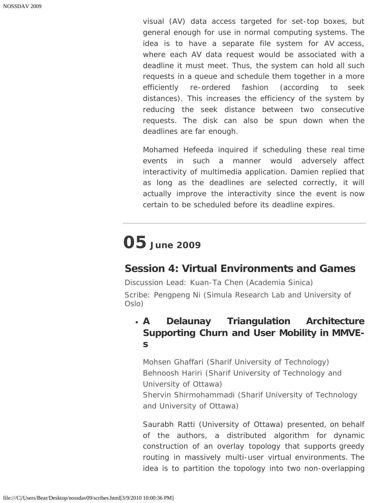visual (AV) data access targeted for set-top boxes, but general enough for use in normal computing systems. The idea is to have a separate file system for AV access, where each AV data request would be associated with a deadline it must meet. Thus, the system can hold all such requests in a queue and schedule them together in a more efficiently re-ordered fashion (according to seek distances). This increases the efficiency of the system by reducing the seek distance between two consecutive requests. The disk can also be spun down when the deadlines are far enough.

Mohamed Hefeeda inquired if scheduling these real time events in such a manner would adversely affect interactivity of multimedia application. Damien replied that as long as the deadlines are selected correctly, it will actually improve the interactivity since the event is now certain to be scheduled before its deadline expires.

# **05 June 2009**

# **Session 4: Virtual Environments and Games**

*Discussion Lead: Kuan-Ta Chen (Academia Sinica) Scribe: Pengpeng Ni (Simula Research Lab and University of Oslo)*

# **A Delaunay Triangulation Architecture Supporting Churn and User Mobility in MMVEs**

*Mohsen Ghaffari (Sharif University of Technology) Behnoosh Hariri (Sharif University of Technology and University of Ottawa) Shervin Shirmohammadi (Sharif University of Technology and University of Ottawa)*

Saurabh Ratti (University of Ottawa) presented, on behalf of the authors, a distributed algorithm for dynamic construction of an overlay topology that supports greedy routing in massively multi-user virtual environments. The idea is to partition the topology into two non-overlapping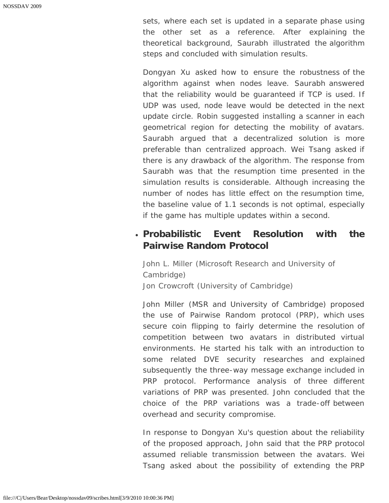sets, where each set is updated in a separate phase using the other set as a reference. After explaining the theoretical background, Saurabh illustrated the algorithm steps and concluded with simulation results.

Dongyan Xu asked how to ensure the robustness of the algorithm against when nodes leave. Saurabh answered that the reliability would be guaranteed if TCP is used. If UDP was used, node leave would be detected in the next update circle. Robin suggested installing a scanner in each geometrical region for detecting the mobility of avatars. Saurabh argued that a decentralized solution is more preferable than centralized approach. Wei Tsang asked if there is any drawback of the algorithm. The response from Saurabh was that the resumption time presented in the simulation results is considerable. Although increasing the number of nodes has little effect on the resumption time, the baseline value of 1.1 seconds is not optimal, especially if the game has multiple updates within a second.

#### **Probabilistic Event Resolution with the Pairwise Random Protocol**

*John L. Miller (Microsoft Research and University of Cambridge) Jon Crowcroft (University of Cambridge)*

John Miller (MSR and University of Cambridge) proposed the use of Pairwise Random protocol (PRP), which uses secure coin flipping to fairly determine the resolution of competition between two avatars in distributed virtual environments. He started his talk with an introduction to some related DVE security researches and explained subsequently the three-way message exchange included in PRP protocol. Performance analysis of three different variations of PRP was presented. John concluded that the choice of the PRP variations was a trade-off between overhead and security compromise.

In response to Dongyan Xu's question about the reliability of the proposed approach, John said that the PRP protocol assumed reliable transmission between the avatars. Wei Tsang asked about the possibility of extending the PRP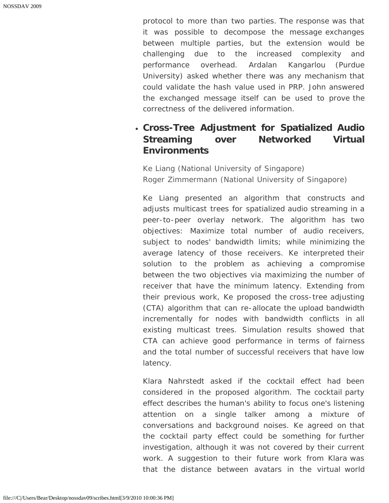protocol to more than two parties. The response was that it was possible to decompose the message exchanges between multiple parties, but the extension would be challenging due to the increased complexity and performance overhead. Ardalan Kangarlou (Purdue University) asked whether there was any mechanism that could validate the hash value used in PRP. John answered the exchanged message itself can be used to prove the correctness of the delivered information.

## **Cross-Tree Adjustment for Spatialized Audio Streaming over Networked Virtual Environments**

*Ke Liang (National University of Singapore) Roger Zimmermann (National University of Singapore)*

Ke Liang presented an algorithm that constructs and adjusts multicast trees for spatialized audio streaming in a peer-to-peer overlay network. The algorithm has two objectives: Maximize total number of audio receivers, subject to nodes' bandwidth limits; while minimizing the average latency of those receivers. Ke interpreted their solution to the problem as achieving a compromise between the two objectives via maximizing the number of receiver that have the minimum latency. Extending from their previous work, Ke proposed the cross-tree adjusting (CTA) algorithm that can re-allocate the upload bandwidth incrementally for nodes with bandwidth conflicts in all existing multicast trees. Simulation results showed that CTA can achieve good performance in terms of fairness and the total number of successful receivers that have low latency.

Klara Nahrstedt asked if the cocktail effect had been considered in the proposed algorithm. The cocktail party effect describes the human's ability to focus one's listening attention on a single talker among a mixture of conversations and background noises. Ke agreed on that the cocktail party effect could be something for further investigation, although it was not covered by their current work. A suggestion to their future work from Klara was that the distance between avatars in the virtual world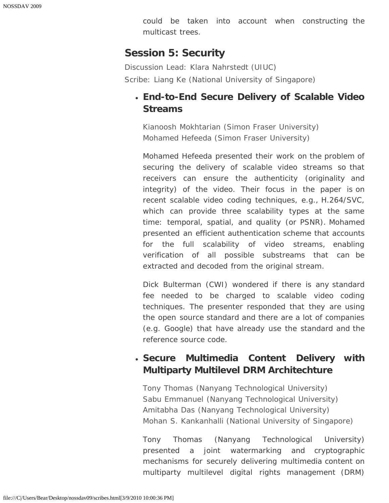could be taken into account when constructing the multicast trees.

## **Session 5: Security**

*Discussion Lead: Klara Nahrstedt (UIUC) Scribe: Liang Ke (National University of Singapore)*

# **End-to-End Secure Delivery of Scalable Video Streams**

*Kianoosh Mokhtarian (Simon Fraser University) Mohamed Hefeeda (Simon Fraser University)*

Mohamed Hefeeda presented their work on the problem of securing the delivery of scalable video streams so that receivers can ensure the authenticity (originality and integrity) of the video. Their focus in the paper is on recent scalable video coding techniques, e.g., H.264/SVC, which can provide three scalability types at the same time: temporal, spatial, and quality (or PSNR). Mohamed presented an efficient authentication scheme that accounts for the full scalability of video streams, enabling verification of all possible substreams that can be extracted and decoded from the original stream.

Dick Bulterman (CWI) wondered if there is any standard fee needed to be charged to scalable video coding techniques. The presenter responded that they are using the open source standard and there are a lot of companies (e.g. Google) that have already use the standard and the reference source code.

# **Secure Multimedia Content Delivery with Multiparty Multilevel DRM Architechture**

*Tony Thomas (Nanyang Technological University) Sabu Emmanuel (Nanyang Technological University) Amitabha Das (Nanyang Technological University) Mohan S. Kankanhalli (National University of Singapore)*

Tony Thomas (Nanyang Technological University) presented a joint watermarking and cryptographic mechanisms for securely delivering multimedia content on multiparty multilevel digital rights management (DRM)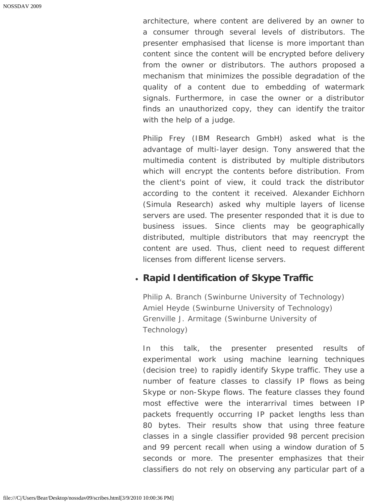architecture, where content are delivered by an owner to a consumer through several levels of distributors. The presenter emphasised that license is more important than content since the content will be encrypted before delivery from the owner or distributors. The authors proposed a mechanism that minimizes the possible degradation of the quality of a content due to embedding of watermark signals. Furthermore, in case the owner or a distributor finds an unauthorized copy, they can identify the traitor with the help of a judge.

Philip Frey (IBM Research GmbH) asked what is the advantage of multi-layer design. Tony answered that the multimedia content is distributed by multiple distributors which will encrypt the contents before distribution. From the client's point of view, it could track the distributor according to the content it received. Alexander Eichhorn (Simula Research) asked why multiple layers of license servers are used. The presenter responded that it is due to business issues. Since clients may be geographically distributed, multiple distributors that may reencrypt the content are used. Thus, client need to request different licenses from different license servers.

#### **Rapid Identification of Skype Traffic**

*Philip A. Branch (Swinburne University of Technology) Amiel Heyde (Swinburne University of Technology) Grenville J. Armitage (Swinburne University of Technology)*

In this talk, the presenter presented results of experimental work using machine learning techniques (decision tree) to rapidly identify Skype traffic. They use a number of feature classes to classify IP flows as being Skype or non-Skype flows. The feature classes they found most effective were the interarrival times between IP packets frequently occurring IP packet lengths less than 80 bytes. Their results show that using three feature classes in a single classifier provided 98 percent precision and 99 percent recall when using a window duration of 5 seconds or more. The presenter emphasizes that their classifiers do not rely on observing any particular part of a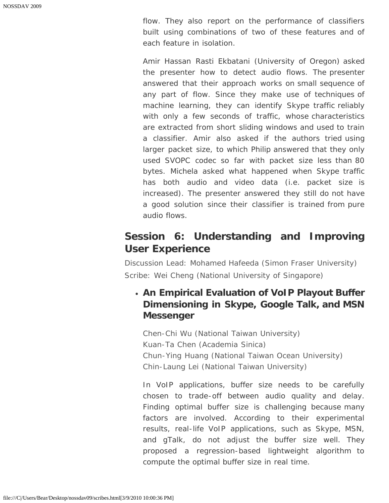flow. They also report on the performance of classifiers built using combinations of two of these features and of each feature in isolation.

Amir Hassan Rasti Ekbatani (University of Oregon) asked the presenter how to detect audio flows. The presenter answered that their approach works on small sequence of any part of flow. Since they make use of techniques of machine learning, they can identify Skype traffic reliably with only a few seconds of traffic, whose characteristics are extracted from short sliding windows and used to train a classifier. Amir also asked if the authors tried using larger packet size, to which Philip answered that they only used SVOPC codec so far with packet size less than 80 bytes. Michela asked what happened when Skype traffic has both audio and video data (i.e. packet size is increased). The presenter answered they still do not have a good solution since their classifier is trained from pure audio flows.

# **Session 6: Understanding and Improving User Experience**

*Discussion Lead: Mohamed Hafeeda (Simon Fraser University) Scribe: Wei Cheng (National University of Singapore)*

## **An Empirical Evaluation of VoIP Playout Buffer Dimensioning in Skype, Google Talk, and MSN Messenger**

*Chen-Chi Wu (National Taiwan University) Kuan-Ta Chen (Academia Sinica) Chun-Ying Huang (National Taiwan Ocean University) Chin-Laung Lei (National Taiwan University)*

In VoIP applications, buffer size needs to be carefully chosen to trade-off between audio quality and delay. Finding optimal buffer size is challenging because many factors are involved. According to their experimental results, real-life VoIP applications, such as Skype, MSN, and gTalk, do not adjust the buffer size well. They proposed a regression-based lightweight algorithm to compute the optimal buffer size in real time.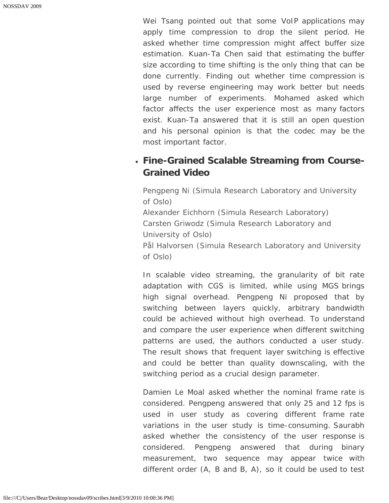Wei Tsang pointed out that some VoIP applications may apply time compression to drop the silent period. He asked whether time compression might affect buffer size estimation. Kuan-Ta Chen said that estimating the buffer size according to time shifting is the only thing that can be done currently. Finding out whether time compression is used by reverse engineering may work better but needs large number of experiments. Mohamed asked which factor affects the user experience most as many factors exist. Kuan-Ta answered that it is still an open question and his personal opinion is that the codec may be the most important factor.

## **Fine-Grained Scalable Streaming from Course-Grained Video**

*Pengpeng Ni (Simula Research Laboratory and University of Oslo) Alexander Eichhorn (Simula Research Laboratory) Carsten Griwodz (Simula Research Laboratory and University of Oslo) Pål Halvorsen (Simula Research Laboratory and University of Oslo)*

In scalable video streaming, the granularity of bit rate adaptation with CGS is limited, while using MGS brings high signal overhead. Pengpeng Ni proposed that by switching between layers quickly, arbitrary bandwidth could be achieved without high overhead. To understand and compare the user experience when different switching patterns are used, the authors conducted a user study. The result shows that frequent layer switching is effective and could be better than quality downscaling, with the switching period as a crucial design parameter.

Damien Le Moal asked whether the nominal frame rate is considered. Pengpeng answered that only 25 and 12 fps is used in user study as covering different frame rate variations in the user study is time-consuming. Saurabh asked whether the consistency of the user response is considered. Pengpeng answered that during binary measurement, two sequence may appear twice with different order (A, B and B, A), so it could be used to test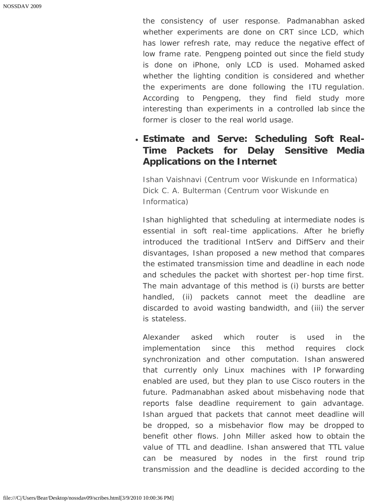the consistency of user response. Padmanabhan asked whether experiments are done on CRT since LCD, which has lower refresh rate, may reduce the negative effect of low frame rate. Pengpeng pointed out since the field study is done on iPhone, only LCD is used. Mohamed asked whether the lighting condition is considered and whether the experiments are done following the ITU regulation. According to Pengpeng, they find field study more interesting than experiments in a controlled lab since the former is closer to the real world usage.

# **Estimate and Serve: Scheduling Soft Real-Time Packets for Delay Sensitive Media Applications on the Internet**

*Ishan Vaishnavi (Centrum voor Wiskunde en Informatica) Dick C. A. Bulterman (Centrum voor Wiskunde en Informatica)*

Ishan highlighted that scheduling at intermediate nodes is essential in soft real-time applications. After he briefly introduced the traditional IntServ and DiffServ and their disvantages, Ishan proposed a new method that compares the estimated transmission time and deadline in each node and schedules the packet with shortest per-hop time first. The main advantage of this method is (i) bursts are better handled, (ii) packets cannot meet the deadline are discarded to avoid wasting bandwidth, and (iii) the server is stateless.

Alexander asked which router is used in the implementation since this method requires clock synchronization and other computation. Ishan answered that currently only Linux machines with IP forwarding enabled are used, but they plan to use Cisco routers in the future. Padmanabhan asked about misbehaving node that reports false deadline requirement to gain advantage. Ishan argued that packets that cannot meet deadline will be dropped, so a misbehavior flow may be dropped to benefit other flows. John Miller asked how to obtain the value of TTL and deadline. Ishan answered that TTL value can be measured by nodes in the first round trip transmission and the deadline is decided according to the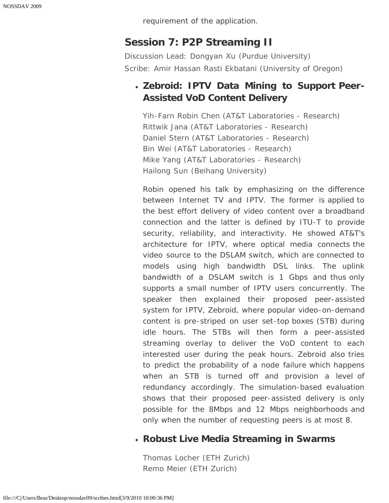requirement of the application.

# **Session 7: P2P Streaming II**

*Discussion Lead: Dongyan Xu (Purdue University) Scribe: Amir Hassan Rasti Ekbatani (University of Oregon)*

## **Zebroid: IPTV Data Mining to Support Peer-Assisted VoD Content Delivery**

*Yih-Farn Robin Chen (AT&T Laboratories - Research) Rittwik Jana (AT&T Laboratories - Research) Daniel Stern (AT&T Laboratories - Research) Bin Wei (AT&T Laboratories - Research) Mike Yang (AT&T Laboratories - Research) Hailong Sun (Beihang University)*

Robin opened his talk by emphasizing on the difference between Internet TV and IPTV. The former is applied to the best effort delivery of video content over a broadband connection and the latter is defined by ITU-T to provide security, reliability, and interactivity. He showed AT&T's architecture for IPTV, where optical media connects the video source to the DSLAM switch, which are connected to models using high bandwidth DSL links. The uplink bandwidth of a DSLAM switch is 1 Gbps and thus only supports a small number of IPTV users concurrently. The speaker then explained their proposed peer-assisted system for IPTV, Zebroid, where popular video-on-demand content is pre-striped on user set-top boxes (STB) during idle hours. The STBs will then form a peer-assisted streaming overlay to deliver the VoD content to each interested user during the peak hours. Zebroid also tries to predict the probability of a node failure which happens when an STB is turned off and provision a level of redundancy accordingly. The simulation-based evaluation shows that their proposed peer-assisted delivery is only possible for the 8Mbps and 12 Mbps neighborhoods and only when the number of requesting peers is at most 8.

## **Robust Live Media Streaming in Swarms**

*Thomas Locher (ETH Zurich) Remo Meier (ETH Zurich)*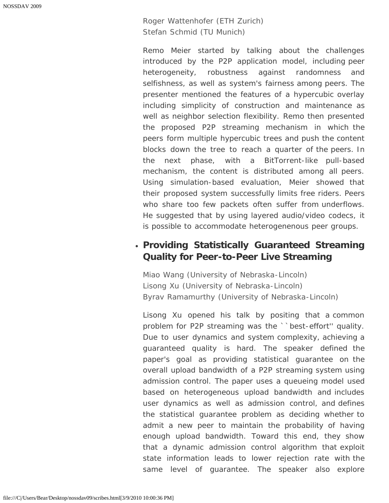#### *Roger Wattenhofer (ETH Zurich) Stefan Schmid (TU Munich)*

Remo Meier started by talking about the challenges introduced by the P2P application model, including peer heterogeneity, robustness against randomness and selfishness, as well as system's fairness among peers. The presenter mentioned the features of a hypercubic overlay including simplicity of construction and maintenance as well as neighbor selection flexibility. Remo then presented the proposed P2P streaming mechanism in which the peers form multiple hypercubic trees and push the content blocks down the tree to reach a quarter of the peers. In the next phase, with a BitTorrent-like pull-based mechanism, the content is distributed among all peers. Using simulation-based evaluation, Meier showed that their proposed system successfully limits free riders. Peers who share too few packets often suffer from underflows. He suggested that by using layered audio/video codecs, it is possible to accommodate heterogenenous peer groups.

## **Providing Statistically Guaranteed Streaming Quality for Peer-to-Peer Live Streaming**

*Miao Wang (University of Nebraska-Lincoln) Lisong Xu (University of Nebraska-Lincoln) Byrav Ramamurthy (University of Nebraska-Lincoln)*

Lisong Xu opened his talk by positing that a common problem for P2P streaming was the ``best-effort'' quality. Due to user dynamics and system complexity, achieving a guaranteed quality is hard. The speaker defined the paper's goal as providing statistical guarantee on the overall upload bandwidth of a P2P streaming system using admission control. The paper uses a queueing model used based on heterogeneous upload bandwidth and includes user dynamics as well as admission control, and defines the statistical guarantee problem as deciding whether to admit a new peer to maintain the probability of having enough upload bandwidth. Toward this end, they show that a dynamic admission control algorithm that exploit state information leads to lower rejection rate with the same level of guarantee. The speaker also explore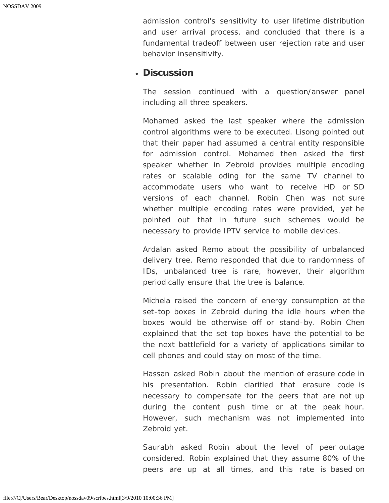admission control's sensitivity to user lifetime distribution and user arrival process. and concluded that there is a fundamental tradeoff between user rejection rate and user behavior insensitivity.

#### **Discussion**

The session continued with a question/answer panel including all three speakers.

Mohamed asked the last speaker where the admission control algorithms were to be executed. Lisong pointed out that their paper had assumed a central entity responsible for admission control. Mohamed then asked the first speaker whether in Zebroid provides multiple encoding rates or scalable oding for the same TV channel to accommodate users who want to receive HD or SD versions of each channel. Robin Chen was not sure whether multiple encoding rates were provided, yet he pointed out that in future such schemes would be necessary to provide IPTV service to mobile devices.

Ardalan asked Remo about the possibility of unbalanced delivery tree. Remo responded that due to randomness of IDs, unbalanced tree is rare, however, their algorithm periodically ensure that the tree is balance.

Michela raised the concern of energy consumption at the set-top boxes in Zebroid during the idle hours when the boxes would be otherwise off or stand-by. Robin Chen explained that the set-top boxes have the potential to be the next battlefield for a variety of applications similar to cell phones and could stay on most of the time.

Hassan asked Robin about the mention of erasure code in his presentation. Robin clarified that erasure code is necessary to compensate for the peers that are not up during the content push time or at the peak hour. However, such mechanism was not implemented into Zebroid yet.

Saurabh asked Robin about the level of peer outage considered. Robin explained that they assume 80% of the peers are up at all times, and this rate is based on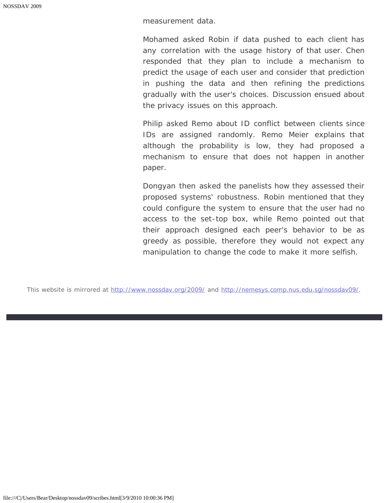measurement data.

Mohamed asked Robin if data pushed to each client has any correlation with the usage history of that user. Chen responded that they plan to include a mechanism to predict the usage of each user and consider that prediction in pushing the data and then refining the predictions gradually with the user's choices. Discussion ensued about the privacy issues on this approach.

Philip asked Remo about ID conflict between clients since IDs are assigned randomly. Remo Meier explains that although the probability is low, they had proposed a mechanism to ensure that does not happen in another paper.

Dongyan then asked the panelists how they assessed their proposed systems' robustness. Robin mentioned that they could configure the system to ensure that the user had no access to the set-top box, while Remo pointed out that their approach designed each peer's behavior to be as greedy as possible, therefore they would not expect any manipulation to change the code to make it more selfish.

This website is mirrored at [http://www.nossdav.org/2009/](javascript:if(confirm() and [http://nemesys.comp.nus.edu.sg/nossdav09/](javascript:if(confirm().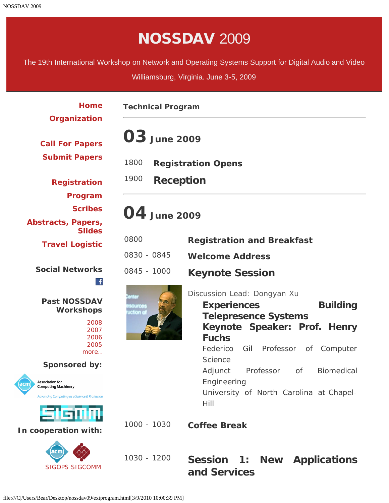# NOSSDAV 2009

<span id="page-39-0"></span>The 19th International Workshop on Network and Operating Systems Support for Digital Audio and Video

Williamsburg, Virginia. June 3-5, 2009

| Home                                                                                                                    | <b>Technical Program</b>                                 |                                                                                                                                                                                                                      |
|-------------------------------------------------------------------------------------------------------------------------|----------------------------------------------------------|----------------------------------------------------------------------------------------------------------------------------------------------------------------------------------------------------------------------|
| Organization<br><b>Call For Papers</b><br><b>Submit Papers</b>                                                          | <b>03</b> June 2009<br>1800<br><b>Registration Opens</b> |                                                                                                                                                                                                                      |
| <b>Registration</b><br>Program                                                                                          | 1900<br><b>Reception</b>                                 |                                                                                                                                                                                                                      |
| <b>Scribes</b><br>Abstracts, Papers,                                                                                    | 04 June 2009                                             |                                                                                                                                                                                                                      |
| <b>Slides</b><br><b>Travel Logistic</b>                                                                                 | 0800<br>0830 - 0845                                      | <b>Registration and Breakfast</b><br><b>Welcome Address</b>                                                                                                                                                          |
| <b>Social Networks</b><br>$\mathbf{f}$                                                                                  | 0845 - 1000                                              | <b>Keynote Session</b>                                                                                                                                                                                               |
| <b>Past NOSSDAV</b><br><b>Workshops</b><br>2008<br>2007<br>2006<br>2005<br>more<br><b>Sponsored by:</b>                 | iources<br>iction of                                     | Discussion Lead: Dongyan Xu<br><b>Building</b><br><b>Experiences</b><br><b>Telepresence Systems</b><br>Keynote Speaker: Prof. Henry<br><b>Fuchs</b><br>Federico<br>Gil Professor<br>Computer<br>Οf<br><b>Science</b> |
| <b>Association for</b><br>acm<br><b>Computing Machinery</b><br><b>Advancing Computing as a Science &amp; Profession</b> |                                                          | Adjunct Professor<br><b>Biomedical</b><br>of<br>Engineering<br>University of North Carolina at Chapel-                                                                                                               |
| SIGMA<br>In cooperation with:                                                                                           | 1000 - 1030                                              | Hill<br><b>Coffee Break</b>                                                                                                                                                                                          |
| acm<br><b>SIGOPS SIGCOMM</b>                                                                                            | 1030 - 1200                                              | Session 1:<br><b>New Applications</b><br>and Services                                                                                                                                                                |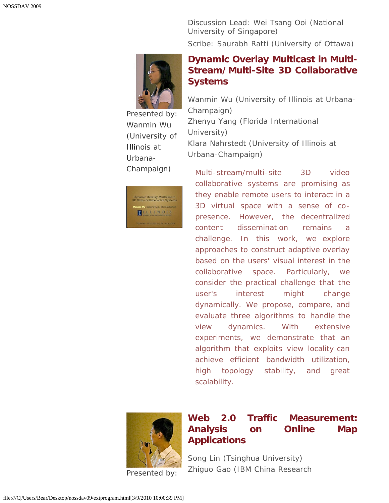*Discussion Lead: Wei Tsang Ooi (National University of Singapore) Scribe: Saurabh Ratti (University of Ottawa)*



Presented by: Wanmin Wu *(University of Illinois at Urbana-Champaign)*



**[Dynamic Overlay Multicast in Multi-](javascript:if(confirm()[Stream/Multi-Site 3D Collaborative](javascript:if(confirm() [Systems](javascript:if(confirm()**

*Wanmin Wu (University of Illinois at Urbana-Champaign) Zhenyu Yang (Florida International University) Klara Nahrstedt (University of Illinois at Urbana-Champaign)*

Multi-stream/multi-site 3D video collaborative systems are promising as they enable remote users to interact in a 3D virtual space with a sense of copresence. However, the decentralized content dissemination remains a challenge. In this work, we explore approaches to construct adaptive overlay based on the users' visual interest in the collaborative space. Particularly, we consider the practical challenge that the user's interest might change dynamically. We propose, compare, and evaluate three algorithms to handle the view dynamics. With extensive experiments, we demonstrate that an algorithm that exploits view locality can achieve efficient bandwidth utilization, high topology stability, and great scalability.



Presented by:

### **[Web 2.0 Traffic Measurement:](javascript:if(confirm() [Analysis on Online Map](javascript:if(confirm() [Applications](javascript:if(confirm()**

*Song Lin (Tsinghua University) Zhiguo Gao (IBM China Research*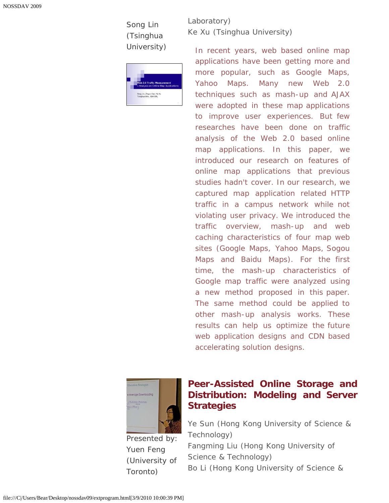Song Lin *(Tsinghua University)*



*Laboratory) Ke Xu (Tsinghua University)*

In recent years, web based online map applications have been getting more and more popular, such as Google Maps, Yahoo Maps. Many new Web 2.0 techniques such as mash-up and AJAX were adopted in these map applications to improve user experiences. But few researches have been done on traffic analysis of the Web 2.0 based online map applications. In this paper, we introduced our research on features of online map applications that previous studies hadn't cover. In our research, we captured map application related HTTP traffic in a campus network while not violating user privacy. We introduced the traffic overview, mash-up and web caching characteristics of four map web sites (Google Maps, Yahoo Maps, Sogou Maps and Baidu Maps). For the first time, the mash-up characteristics of Google map traffic were analyzed using a new method proposed in this paper. The same method could be applied to other mash-up analysis works. These results can help us optimize the future web application designs and CDN based accelerating solution designs.



Presented by: Yuen Feng *(University of Toronto)*

## **[Peer-Assisted Online Storage and](javascript:if(confirm() [Distribution: Modeling and Server](javascript:if(confirm() [Strategies](javascript:if(confirm()**

*Ye Sun (Hong Kong University of Science & Technology) Fangming Liu (Hong Kong University of Science & Technology) Bo Li (Hong Kong University of Science &*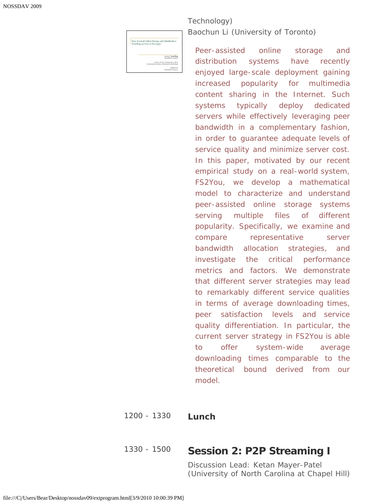| Peer-Assisted Online Storage and Distribution:<br>Modeling and Server Strategies      |
|---------------------------------------------------------------------------------------|
|                                                                                       |
|                                                                                       |
|                                                                                       |
|                                                                                       |
|                                                                                       |
| <b>Speaker: Yoan Feng</b>                                                             |
| University of Toronto                                                                 |
|                                                                                       |
|                                                                                       |
| Authors: Ye Sun. Fangtring Liu, Bo Li<br>Hong Kong University of Science & Technology |
|                                                                                       |
| Recebus I/                                                                            |

#### *Technology) Baochun Li (University of Toronto)*

Peer-assisted online storage and distribution systems have recently enjoyed large-scale deployment gaining increased popularity for multimedia content sharing in the Internet. Such systems typically deploy dedicated servers while effectively leveraging peer bandwidth in a complementary fashion, in order to guarantee adequate levels of service quality and minimize server cost. In this paper, motivated by our recent empirical study on a real-world system, FS2You, we develop a mathematical model to characterize and understand peer-assisted online storage systems serving multiple files of different popularity. Specifically, we examine and compare representative server bandwidth allocation strategies, and investigate the critical performance metrics and factors. We demonstrate that different server strategies may lead to remarkably different service qualities in terms of average downloading times, peer satisfaction levels and service quality differentiation. In particular, the current server strategy in FS2You is able to offer system-wide average downloading times comparable to the theoretical bound derived from our model.

#### 1200 - 1330 **Lunch**

#### 1330 - 1500 **Session 2: P2P Streaming I**

*Discussion Lead: Ketan Mayer-Patel (University of North Carolina at Chapel Hill)*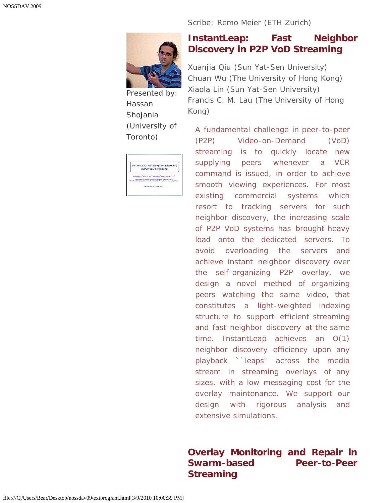#### *Scribe: Remo Meier (ETH Zurich)*



Presented by: Hassan Shojania *(University of Toronto)*

| InstantLeap: Fast Neighbor Discovery<br>in P2P VoD Streaming                                                        |
|---------------------------------------------------------------------------------------------------------------------|
| Xuania Qiu, Chuan Wu, Xiaola Lin, Francis C.M. Lau<br>Department of Computer Science, Sun Yai-Sen University, China |
| Department of Computer Spierce: The University of Hong Kong, Hong Kong, China.                                      |
| NOSSDAVOS June 4, 2009                                                                                              |

#### **[InstantLeap: Fast Neighbor](javascript:if(confirm() [Discovery in P2P VoD Streaming](javascript:if(confirm()**

*Xuanjia Qiu (Sun Yat-Sen University) Chuan Wu (The University of Hong Kong) Xiaola Lin (Sun Yat-Sen University) Francis C. M. Lau (The University of Hong Kong)*

A fundamental challenge in peer-to-peer (P2P) Video-on-Demand (VoD) streaming is to quickly locate new supplying peers whenever a VCR command is issued, in order to achieve smooth viewing experiences. For most existing commercial systems which resort to tracking servers for such neighbor discovery, the increasing scale of P2P VoD systems has brought heavy load onto the dedicated servers. To avoid overloading the servers and achieve instant neighbor discovery over the self-organizing P2P overlay, we design a novel method of organizing peers watching the same video, that constitutes a light-weighted indexing structure to support efficient streaming and fast neighbor discovery at the same time. InstantLeap achieves an O(1) neighbor discovery efficiency upon any playback ``leaps'' across the media stream in streaming overlays of any sizes, with a low messaging cost for the overlay maintenance. We support our design with rigorous analysis and extensive simulations.

### **[Overlay Monitoring and Repair in](javascript:if(confirm() [Swarm-based Peer-to-Peer](javascript:if(confirm() [Streaming](javascript:if(confirm()**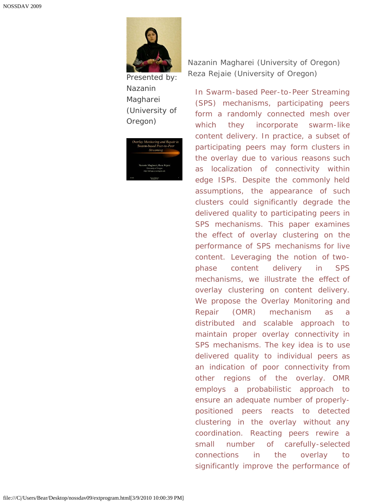

Presented by: Nazanin Magharei *(University of Oregon)*

| Overlay Monitoring and Repair in |
|----------------------------------|
| Swarm-based Peer-to-Peer         |
| <b>Streaming</b>                 |
|                                  |
|                                  |
|                                  |
| Nazanin Magharei, Reza Rejaie    |
| University of Oregon             |
| http://mirage.cs.uoregon.cdu     |

*Nazanin Magharei (University of Oregon) Reza Rejaie (University of Oregon)*

In Swarm-based Peer-to-Peer Streaming (SPS) mechanisms, participating peers form a randomly connected mesh over which they incorporate swarm-like content delivery. In practice, a subset of participating peers may form clusters in the overlay due to various reasons such as localization of connectivity within edge ISPs. Despite the commonly held assumptions, the appearance of such clusters could significantly degrade the delivered quality to participating peers in SPS mechanisms. This paper examines the effect of overlay clustering on the performance of SPS mechanisms for live content. Leveraging the notion of twophase content delivery in SPS mechanisms, we illustrate the effect of overlay clustering on content delivery. We propose the Overlay Monitoring and Repair (OMR) mechanism as a distributed and scalable approach to maintain proper overlay connectivity in SPS mechanisms. The key idea is to use delivered quality to individual peers as an indication of poor connectivity from other regions of the overlay. OMR employs a probabilistic approach to ensure an adequate number of properlypositioned peers reacts to detected clustering in the overlay without any coordination. Reacting peers rewire a small number of carefully-selected connections in the overlay to significantly improve the performance of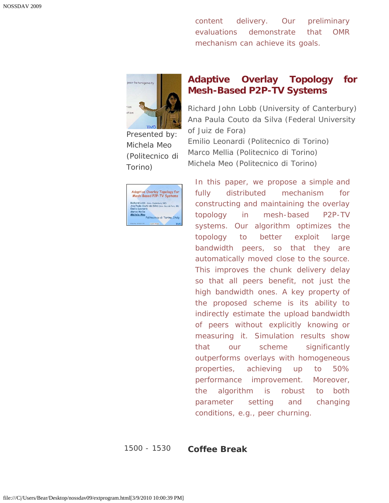content delivery. Our preliminary evaluations demonstrate that OMR mechanism can achieve its goals.



Presented by: Michela Meo *(Politecnico di Torino)*

|                                     | <b>Adaptive Overlay Topology for</b>              |
|-------------------------------------|---------------------------------------------------|
|                                     | Mesh-Based P2P-TV Systems                         |
| Richard Lobb (Univ. Conterbury, NZ) |                                                   |
|                                     | Ana Paula Couto da Silva (Univ. Juiz de Fora, BR) |
| Emilio Leonardi                     |                                                   |
| Marco Mellia                        |                                                   |
| Michela Meo                         | Politecnico di Torino, Italy                      |
|                                     |                                                   |

#### **[Adaptive Overlay Topology for](javascript:if(confirm() [Mesh-Based P2P-TV Systems](javascript:if(confirm()**

*Richard John Lobb (University of Canterbury) Ana Paula Couto da Silva (Federal University of Juiz de Fora) Emilio Leonardi (Politecnico di Torino) Marco Mellia (Politecnico di Torino) Michela Meo (Politecnico di Torino)*

In this paper, we propose a simple and fully distributed mechanism for constructing and maintaining the overlay topology in mesh-based P2P-TV systems. Our algorithm optimizes the topology to better exploit large bandwidth peers, so that they are automatically moved close to the source. This improves the chunk delivery delay so that all peers benefit, not just the high bandwidth ones. A key property of the proposed scheme is its ability to indirectly estimate the upload bandwidth of peers without explicitly knowing or measuring it. Simulation results show that our scheme significantly outperforms overlays with homogeneous properties, achieving up to 50% performance improvement. Moreover, the algorithm is robust to both parameter setting and changing conditions, e.g., peer churning.

1500 - 1530 **Coffee Break**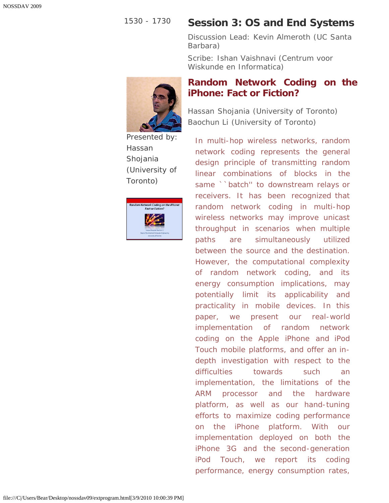### 1530 - 1730 **Session 3: OS and End Systems**

**[iPhone: Fact or Fiction?](javascript:if(confirm()**

*Discussion Lead: Kevin Almeroth (UC Santa Barbara)*

**[Random Network Coding on the](javascript:if(confirm()**

*Scribe: Ishan Vaishnavi (Centrum voor Wiskunde en Informatica)*



Presented by: Hassan Shojania *(University of Toronto)*



*Hassan Shojania (University of Toronto) Baochun Li (University of Toronto)*

In multi-hop wireless networks, random network coding represents the general design principle of transmitting random linear combinations of blocks in the same ``batch" to downstream relays or receivers. It has been recognized that random network coding in multi-hop wireless networks may improve unicast throughput in scenarios when multiple paths are simultaneously utilized between the source and the destination. However, the computational complexity of random network coding, and its energy consumption implications, may potentially limit its applicability and practicality in mobile devices. In this paper, we present our real-world implementation of random network coding on the Apple iPhone and iPod Touch mobile platforms, and offer an indepth investigation with respect to the difficulties towards such an implementation, the limitations of the ARM processor and the hardware platform, as well as our hand-tuning efforts to maximize coding performance on the iPhone platform. With our implementation deployed on both the iPhone 3G and the second-generation iPod Touch, we report its coding performance, energy consumption rates,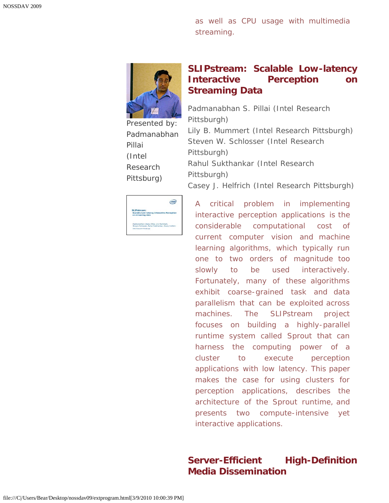as well as CPU usage with multimedia streaming.



#### **[SLIPstream: Scalable Low-latency](javascript:if(confirm() [Interactive Perception on](javascript:if(confirm() [Streaming Data](javascript:if(confirm()**

Presented by: Padmanabhan Pillai *(Intel Research Pittsburg)*

*Padmanabhan S. Pillai (Intel Research Pittsburgh) Lily B. Mummert (Intel Research Pittsburgh) Steven W. Schlosser (Intel Research Pittsburgh) Rahul Sukthankar (Intel Research Pittsburgh) Casey J. Helfrich (Intel Research Pittsburgh)*

| <b>SLIPstream:</b>                       |                                                    |
|------------------------------------------|----------------------------------------------------|
| on streaming data                        | <b>Scalable Low-latency Interactive Perception</b> |
| Padmanabhan (Babu) Pillai, Lily Mummert, | Steven Schlosser, Rahul Sukthankar, Casey Helfrich |
| <b>Intel Research Petaburgh</b>          |                                                    |

A critical problem in implementing interactive perception applications is the considerable computational cost of current computer vision and machine learning algorithms, which typically run one to two orders of magnitude too slowly to be used interactively. Fortunately, many of these algorithms exhibit coarse-grained task and data parallelism that can be exploited across machines. The SLIPstream project focuses on building a highly-parallel runtime system called Sprout that can harness the computing power of a cluster to execute perception applications with low latency. This paper makes the case for using clusters for perception applications, describes the architecture of the Sprout runtime, and presents two compute-intensive yet interactive applications.

#### **[Server-Efficient High-Definition](javascript:if(confirm() [Media Dissemination](javascript:if(confirm()**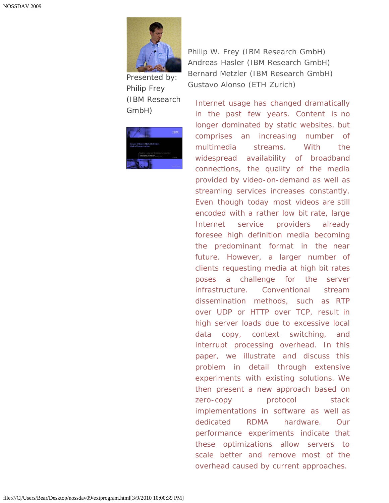

Presented by: Philip Frey *(IBM Research GmbH)*



*Philip W. Frey (IBM Research GmbH) Andreas Hasler (IBM Research GmbH) Bernard Metzler (IBM Research GmbH) Gustavo Alonso (ETH Zurich)*

Internet usage has changed dramatically in the past few years. Content is no longer dominated by static websites, but comprises an increasing number of multimedia streams. With the widespread availability of broadband connections, the quality of the media provided by video-on-demand as well as streaming services increases constantly. Even though today most videos are still encoded with a rather low bit rate, large Internet service providers already foresee high definition media becoming the predominant format in the near future. However, a larger number of clients requesting media at high bit rates poses a challenge for the server infrastructure. Conventional stream dissemination methods, such as RTP over UDP or HTTP over TCP, result in high server loads due to excessive local data copy, context switching, and interrupt processing overhead. In this paper, we illustrate and discuss this problem in detail through extensive experiments with existing solutions. We then present a new approach based on zero-copy protocol stack implementations in software as well as dedicated RDMA hardware. Our performance experiments indicate that these optimizations allow servers to scale better and remove most of the overhead caused by current approaches.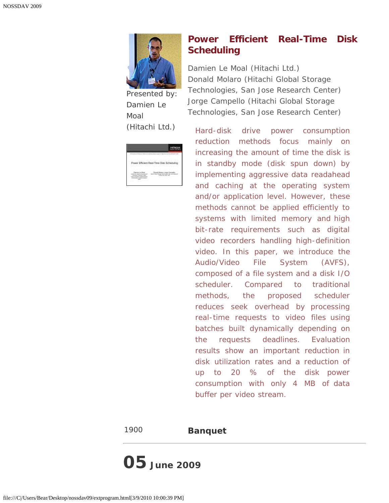

Presented by: Damien Le Moal *(Hitachi Ltd.)*

| -----<br>76 F                              | 77<br>.<br><b>The Commercial Property Commercial Property Commercial</b> |  |
|--------------------------------------------|--------------------------------------------------------------------------|--|
|                                            | <b>Mariana</b>                                                           |  |
| m - St<br>----<br>the contract of the con- |                                                                          |  |

## **[Power Efficient Real-Time Disk](javascript:if(confirm() [Scheduling](javascript:if(confirm()**

*Damien Le Moal (Hitachi Ltd.) Donald Molaro (Hitachi Global Storage Technologies, San Jose Research Center) Jorge Campello (Hitachi Global Storage Technologies, San Jose Research Center)*

Hard-disk drive power consumption reduction methods focus mainly on increasing the amount of time the disk is in standby mode (disk spun down) by implementing aggressive data readahead and caching at the operating system and/or application level. However, these methods cannot be applied efficiently to systems with limited memory and high bit-rate requirements such as digital video recorders handling high-definition video. In this paper, we introduce the Audio/Video File System (AVFS), composed of a file system and a disk I/O scheduler. Compared to traditional methods, the proposed scheduler reduces seek overhead by processing real-time requests to video files using batches built dynamically depending on the requests deadlines. Evaluation results show an important reduction in disk utilization rates and a reduction of up to 20 % of the disk power consumption with only 4 MB of data buffer per video stream.

1900 **Banquet**

**05 June 2009**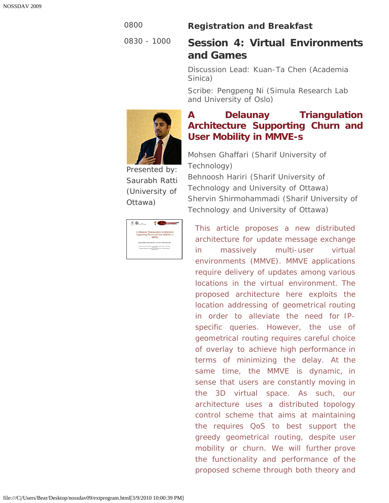#### 0800 **Registration and Breakfast**

# 0830 - 1000 **Session 4: Virtual Environments and Games**

*Discussion Lead: Kuan-Ta Chen (Academia Sinica)*

*Scribe: Pengpeng Ni (Simula Research Lab and University of Oslo)*

# **[A Delaunay Triangulation](javascript:if(confirm() [Architecture Supporting Churn and](javascript:if(confirm() [User Mobility in MMVE-s](javascript:if(confirm()**

Presented by: Saurabh Ratti *(University of Ottawa)*

| Technology)                                 |  |
|---------------------------------------------|--|
| Behnoosh Hariri (Sharif University of       |  |
| Technology and University of Ottawa)        |  |
| Shervin Shirmohammadi (Sharif University of |  |
| Technology and University of Ottawa)        |  |
|                                             |  |

*Mohsen Ghaffari (Sharif University of*

This article proposes a new distributed architecture for update message exchange in massively multi-user virtual environments (MMVE). MMVE applications require delivery of updates among various locations in the virtual environment. The proposed architecture here exploits the location addressing of geometrical routing in order to alleviate the need for IPspecific queries. However, the use of geometrical routing requires careful choice of overlay to achieve high performance in terms of minimizing the delay. At the same time, the MMVE is dynamic, in sense that users are constantly moving in the 3D virtual space. As such, our architecture uses a distributed topology control scheme that aims at maintaining the requires QoS to best support the greedy geometrical routing, despite user mobility or churn. We will further prove the functionality and performance of the proposed scheme through both theory and

**Compover** 

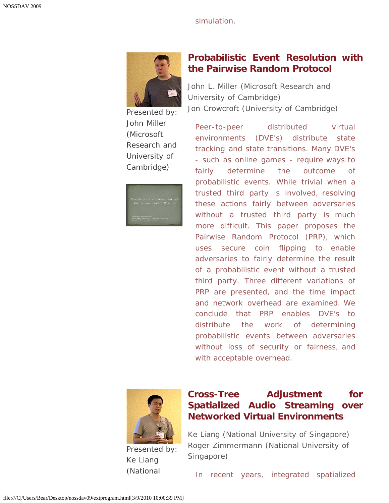simulation.



Presented by: John Miller *(Microsoft Research and University of Cambridge)*



### **[Probabilistic Event Resolution with](javascript:if(confirm() [the Pairwise Random Protocol](javascript:if(confirm()**

*John L. Miller (Microsoft Research and University of Cambridge) Jon Crowcroft (University of Cambridge)*

Peer-to-peer distributed virtual environments (DVE's) distribute state tracking and state transitions. Many DVE's - such as online games - require ways to fairly determine the outcome of probabilistic events. While trivial when a trusted third party is involved, resolving these actions fairly between adversaries without a trusted third party is much more difficult. This paper proposes the Pairwise Random Protocol (PRP), which uses secure coin flipping to enable adversaries to fairly determine the result of a probabilistic event without a trusted third party. Three different variations of PRP are presented, and the time impact and network overhead are examined. We conclude that PRP enables DVE's to distribute the work of determining probabilistic events between adversaries without loss of security or fairness, and with acceptable overhead.



Presented by: Ke Liang *(National*

# **[Cross-Tree Adjustment for](javascript:if(confirm() [Spatialized Audio Streaming over](javascript:if(confirm() [Networked Virtual Environments](javascript:if(confirm()**

*Ke Liang (National University of Singapore) Roger Zimmermann (National University of Singapore)*

In recent years, integrated spatialized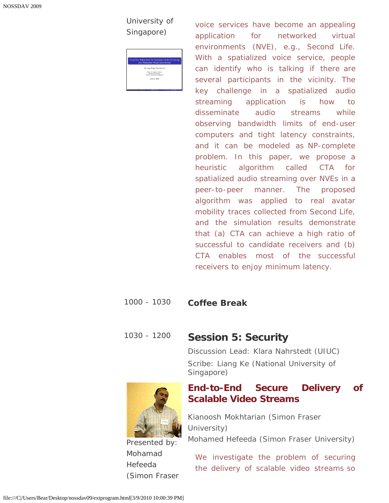*University of Singapore)*

| Cross-Tree Adjustment for Spatialized Audio Streaming<br>over Networked Virtual Environment |
|---------------------------------------------------------------------------------------------|
| Ke Liang, Roger Zimmermann                                                                  |
| Dept. of Computer Science<br>School of Computing<br>National University of Singapore        |
| June 5, 2009                                                                                |

voice services have become an appealing application for networked virtual environments (NVE), e.g., Second Life. With a spatialized voice service, people can identify who is talking if there are several participants in the vicinity. The key challenge in a spatialized audio streaming application is how to disseminate audio streams while observing bandwidth limits of end-user computers and tight latency constraints, and it can be modeled as NP-complete problem. In this paper, we propose a heuristic algorithm called CTA for spatialized audio streaming over NVEs in a peer-to-peer manner. The proposed algorithm was applied to real avatar mobility traces collected from Second Life, and the simulation results demonstrate that (a) CTA can achieve a high ratio of successful to candidate receivers and (b) CTA enables most of the successful receivers to enjoy minimum latency.

#### 1000 - 1030 **Coffee Break**

1030 - 1200 **Session 5: Security**

*Discussion Lead: Klara Nahrstedt (UIUC) Scribe: Liang Ke (National University of Singapore)*



*(Simon Fraser*

Presented by: Mohamad Hefeeda

*Kianoosh Mokhtarian (Simon Fraser University)*

*Mohamed Hefeeda (Simon Fraser University)*

We investigate the problem of securing the delivery of scalable video streams so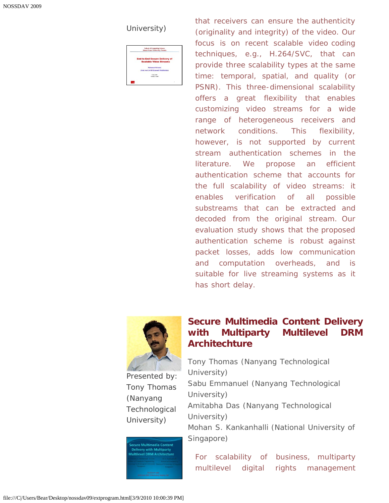*University)*

| <b>School of Computing Science</b><br>Simon France University, Canada |  |
|-----------------------------------------------------------------------|--|
| <b>End-to-End Secure Delivery of</b>                                  |  |
| <b>Scalable Video Streams</b>                                         |  |
| <b>Mahamod Hefcods</b>                                                |  |
| (Joint work with Kinnoch Mokhtarian)                                  |  |
| 4. June 1989<br><b>MONTH VEHICLE</b>                                  |  |
|                                                                       |  |

that receivers can ensure the authenticity (originality and integrity) of the video. Our focus is on recent scalable video coding techniques, e.g., H.264/SVC, that can provide three scalability types at the same time: temporal, spatial, and quality (or PSNR). This three-dimensional scalability offers a great flexibility that enables customizing video streams for a wide range of heterogeneous receivers and network conditions. This flexibility, however, is not supported by current stream authentication schemes in the literature. We propose an efficient authentication scheme that accounts for the full scalability of video streams: it enables verification of all possible substreams that can be extracted and decoded from the original stream. Our evaluation study shows that the proposed authentication scheme is robust against packet losses, adds low communication and computation overheads, and is suitable for live streaming systems as it has short delay.



Presented by: Tony Thomas *(Nanyang Technological University)*

cure Multimedia Content le Muttineula content<br>livery with Multiparty<br>ilevel DRM Architecture

## **[Secure Multimedia Content Delivery](javascript:if(confirm() [with Multiparty Multilevel DRM](javascript:if(confirm() [Architechture](javascript:if(confirm()**

*Tony Thomas (Nanyang Technological University) Sabu Emmanuel (Nanyang Technological University) Amitabha Das (Nanyang Technological University) Mohan S. Kankanhalli (National University of Singapore)*

For scalability of business, multiparty multilevel digital rights management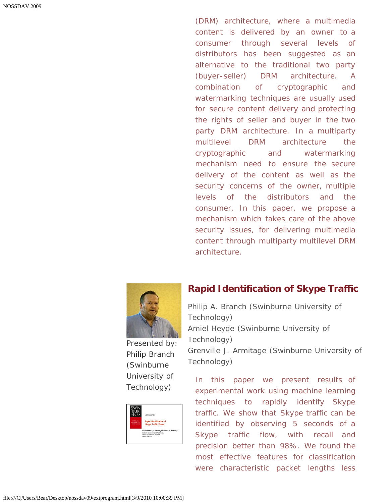(DRM) architecture, where a multimedia content is delivered by an owner to a consumer through several levels of distributors has been suggested as an alternative to the traditional two party (buyer-seller) DRM architecture. A combination of cryptographic and watermarking techniques are usually used for secure content delivery and protecting the rights of seller and buyer in the two party DRM architecture. In a multiparty multilevel DRM architecture the cryptographic and watermarking mechanism need to ensure the secure delivery of the content as well as the security concerns of the owner, multiple levels of the distributors and the consumer. In this paper, we propose a mechanism which takes care of the above security issues, for delivering multimedia content through multiparty multilevel DRM architecture.



Presented by: Philip Branch *(Swinburne University of Technology)*



#### **[Rapid Identification of Skype Traffic](javascript:if(confirm()**

*Philip A. Branch (Swinburne University of Technology) Amiel Heyde (Swinburne University of Technology) Grenville J. Armitage (Swinburne University of Technology)*

In this paper we present results of experimental work using machine learning techniques to rapidly identify Skype traffic. We show that Skype traffic can be identified by observing 5 seconds of a Skype traffic flow, with recall and precision better than 98%. We found the most effective features for classification were characteristic packet lengths less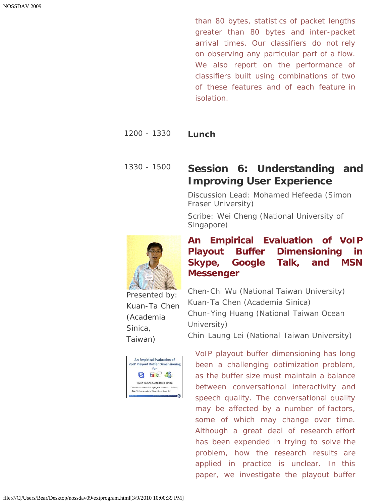than 80 bytes, statistics of packet lengths greater than 80 bytes and inter-packet arrival times. Our classifiers do not rely on observing any particular part of a flow. We also report on the performance of classifiers built using combinations of two of these features and of each feature in isolation.

#### 1200 - 1330 **Lunch**

# 1330 - 1500 **Session 6: Understanding and Improving User Experience**

*Discussion Lead: Mohamed Hefeeda (Simon Fraser University)*

*Scribe: Wei Cheng (National University of Singapore)*

**[An Empirical Evaluation of VoIP](javascript:if(confirm() [Playout Buffer Dimensioning in](javascript:if(confirm()**



**[Skype, Google Talk, and MSN](javascript:if(confirm() [Messenger](javascript:if(confirm()** *Chen-Chi Wu (National Taiwan University) Kuan-Ta Chen (Academia Sinica)*

*Chun-Ying Huang (National Taiwan Ocean University)*

*Chin-Laung Lei (National Taiwan University)*

VoIP playout buffer dimensioning has long been a challenging optimization problem, as the buffer size must maintain a balance between conversational interactivity and speech quality. The conversational quality may be affected by a number of factors, some of which may change over time. Although a great deal of research effort has been expended in trying to solve the problem, how the research results are applied in practice is unclear. In this paper, we investigate the playout buffer

Presented by: Kuan-Ta Chen *(Academia Sinica, Taiwan)*

|                                                  |                               | <b>VolP Playout Buffer Dimensioning</b>                    |
|--------------------------------------------------|-------------------------------|------------------------------------------------------------|
|                                                  | for                           |                                                            |
|                                                  | tall                          |                                                            |
|                                                  | Kuan-Ta Chen, Academia Sinica |                                                            |
|                                                  |                               | Chen-Chi Wu and Chin-Laung Lei, National Taiwan University |
| Chun-Yin Huang, National Taiwan Ocean University |                               |                                                            |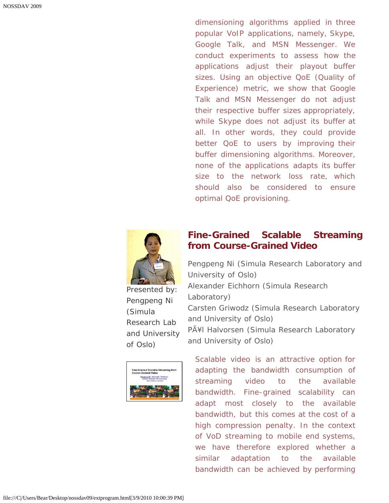dimensioning algorithms applied in three popular VoIP applications, namely, Skype, Google Talk, and MSN Messenger. We conduct experiments to assess how the applications adjust their playout buffer sizes. Using an objective QoE (Quality of Experience) metric, we show that Google Talk and MSN Messenger do not adjust their respective buffer sizes appropriately, while Skype does not adjust its buffer at all. In other words, they could provide better QoE to users by improving their buffer dimensioning algorithms. Moreover, none of the applications adapts its buffer size to the network loss rate, which should also be considered to ensure optimal QoE provisioning.



Presented by: Pengpeng Ni *(Simula Research Lab and University of Oslo)*

|                             |                                                                    | <b>Fine-Grained Scalable Streaming from</b> |
|-----------------------------|--------------------------------------------------------------------|---------------------------------------------|
| <b>Coarse-Grained Video</b> |                                                                    |                                             |
|                             | Penggeng Ni: Alexander Eichhorn:<br>Carsten Griwodz; Pál Halvorsen |                                             |
|                             | Skyada Research Laboratory                                         |                                             |
|                             |                                                                    |                                             |
|                             |                                                                    |                                             |
|                             |                                                                    |                                             |

 $\mathbf{L}$ 

#### **[Fine-Grained Scalable Streaming](javascript:if(confirm() [from Course-Grained Video](javascript:if(confirm()**

*Pengpeng Ni (Simula Research Laboratory and University of Oslo) Alexander Eichhorn (Simula Research Laboratory) Carsten Griwodz (Simula Research Laboratory and University of Oslo) PÃ¥l Halvorsen (Simula Research Laboratory and University of Oslo)*

Scalable video is an attractive option for adapting the bandwidth consumption of streaming video to the available bandwidth. Fine-grained scalability can adapt most closely to the available bandwidth, but this comes at the cost of a high compression penalty. In the context of VoD streaming to mobile end systems, we have therefore explored whether a similar adaptation to the available bandwidth can be achieved by performing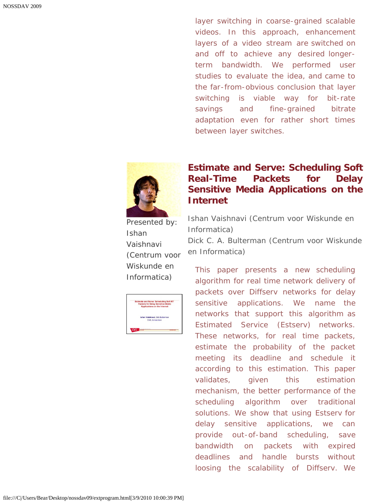layer switching in coarse-grained scalable videos. In this approach, enhancement layers of a video stream are switched on and off to achieve any desired longerterm bandwidth. We performed user studies to evaluate the idea, and came to the far-from-obvious conclusion that layer switching is viable way for bit-rate savings and fine-grained bitrate adaptation even for rather short times between layer switches.



Presented by: Ishan Vaishnavi *(Centrum voor Wiskunde en Informatica)*

| <b>Estimate and Serve: Scheduling Soft RT</b><br><b>Packets for Delay Sensitive Media</b><br>Applications on the Internet |  |
|---------------------------------------------------------------------------------------------------------------------------|--|
|                                                                                                                           |  |
|                                                                                                                           |  |
| Ishan Vaishnavi, Dick Bulterman                                                                                           |  |
| CWL Amsterdam                                                                                                             |  |
|                                                                                                                           |  |
|                                                                                                                           |  |

### **[Estimate and Serve: Scheduling Soft](javascript:if(confirm() [Real-Time Packets for Delay](javascript:if(confirm() [Sensitive Media Applications on the](javascript:if(confirm() [Internet](javascript:if(confirm()**

*Ishan Vaishnavi (Centrum voor Wiskunde en Informatica) Dick C. A. Bulterman (Centrum voor Wiskunde en Informatica)*

This paper presents a new scheduling algorithm for real time network delivery of packets over Diffserv networks for delay sensitive applications. We name the networks that support this algorithm as Estimated Service (Estserv) networks. These networks, for real time packets, estimate the probability of the packet meeting its deadline and schedule it according to this estimation. This paper validates, given this estimation mechanism, the better performance of the scheduling algorithm over traditional solutions. We show that using Estserv for delay sensitive applications, we can provide out-of-band scheduling, save bandwidth on packets with expired deadlines and handle bursts without loosing the scalability of Diffserv. We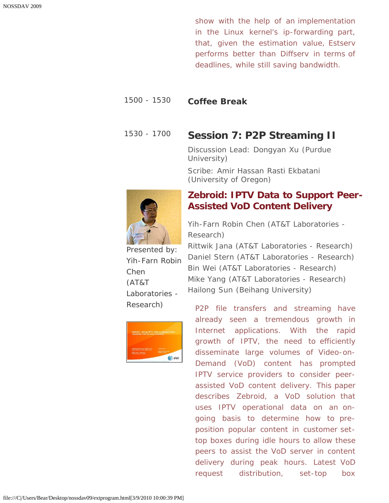show with the help of an implementation in the Linux kernel's ip-forwarding part, that, given the estimation value, Estserv performs better than Diffserv in terms of deadlines, while still saving bandwidth.

#### 1500 - 1530 **Coffee Break**

### 1530 - 1700 **Session 7: P2P Streaming II**

*Discussion Lead: Dongyan Xu (Purdue University)*

*Scribe: Amir Hassan Rasti Ekbatani (University of Oregon)*



**[Zebroid: IPTV Data to Support Peer-](javascript:if(confirm()[Assisted VoD Content Delivery](javascript:if(confirm()**

*Yih-Farn Robin Chen (AT&T Laboratories - Research)*

Presented by: Yih-Farn Robin Chen *(AT&T Laboratories - Research)*



*Rittwik Jana (AT&T Laboratories - Research) Daniel Stern (AT&T Laboratories - Research) Bin Wei (AT&T Laboratories - Research) Mike Yang (AT&T Laboratories - Research) Hailong Sun (Beihang University)*

P2P file transfers and streaming have already seen a tremendous growth in Internet applications. With the rapid growth of IPTV, the need to efficiently disseminate large volumes of Video-on-Demand (VoD) content has prompted IPTV service providers to consider peerassisted VoD content delivery. This paper describes Zebroid, a VoD solution that uses IPTV operational data on an ongoing basis to determine how to preposition popular content in customer settop boxes during idle hours to allow these peers to assist the VoD server in content delivery during peak hours. Latest VoD request distribution, set-top box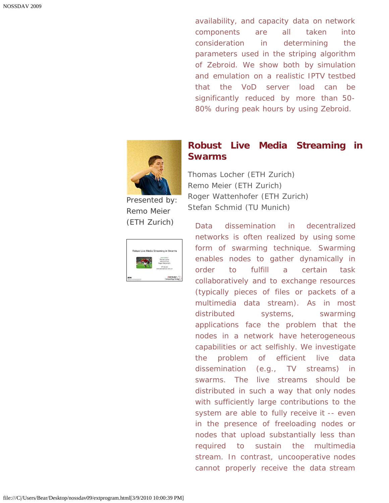availability, and capacity data on network components are all taken into consideration in determining the parameters used in the striping algorithm of Zebroid. We show both by simulation and emulation on a realistic IPTV testbed that the VoD server load can be significantly reduced by more than 50- 80% during peak hours by using Zebroid.



Presented by: Remo Meier *(ETH Zurich)*

 $\mathbf{r}$ 

| Remo Meier                         |
|------------------------------------|
| Thomas tocher                      |
| Stefan Schmid<br>Roger Wattenhofer |
|                                    |
| FTH Zurich                         |
| remmeler@tik.ee.ethz.ch            |
|                                    |
|                                    |

 $\blacksquare$ 

#### **[Robust Live Media Streaming in](javascript:if(confirm() [Swarms](javascript:if(confirm()**

*Thomas Locher (ETH Zurich) Remo Meier (ETH Zurich) Roger Wattenhofer (ETH Zurich) Stefan Schmid (TU Munich)*

Data dissemination in decentralized networks is often realized by using some form of swarming technique. Swarming enables nodes to gather dynamically in order to fulfill a certain task collaboratively and to exchange resources (typically pieces of files or packets of a multimedia data stream). As in most distributed systems, swarming applications face the problem that the nodes in a network have heterogeneous capabilities or act selfishly. We investigate the problem of efficient live data dissemination (e.g., TV streams) in swarms. The live streams should be distributed in such a way that only nodes with sufficiently large contributions to the system are able to fully receive it -- even in the presence of freeloading nodes or nodes that upload substantially less than required to sustain the multimedia stream. In contrast, uncooperative nodes cannot properly receive the data stream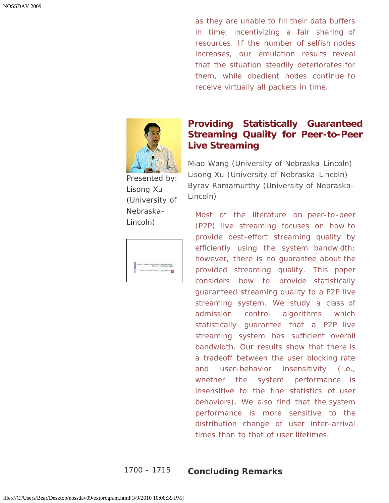as they are unable to fill their data buffers in time, incentivizing a fair sharing of resources. If the number of selfish nodes increases, our emulation results reveal that the situation steadily deteriorates for them, while obedient nodes continue to receive virtually all packets in time.



Presented by: Lisong Xu *(University of Nebraska-Lincoln)*

| Providing Statistically Guaranteed Streaming Quality |                                 |  |
|------------------------------------------------------|---------------------------------|--|
|                                                      |                                 |  |
|                                                      | for Peer-to-Peer Live Streaming |  |

### **[Providing Statistically Guaranteed](javascript:if(confirm() [Streaming Quality for Peer-to-Peer](javascript:if(confirm() [Live Streaming](javascript:if(confirm()**

*Miao Wang (University of Nebraska-Lincoln) Lisong Xu (University of Nebraska-Lincoln) Byrav Ramamurthy (University of Nebraska-Lincoln)*

Most of the literature on peer-to-peer (P2P) live streaming focuses on how to provide best-effort streaming quality by efficiently using the system bandwidth; however, there is no guarantee about the provided streaming quality. This paper considers how to provide statistically guaranteed streaming quality to a P2P live streaming system. We study a class of admission control algorithms which statistically guarantee that a P2P live streaming system has sufficient overall bandwidth. Our results show that there is a tradeoff between the user blocking rate and user-behavior insensitivity (i.e., whether the system performance is insensitive to the fine statistics of user behaviors). We also find that the system performance is more sensitive to the distribution change of user inter-arrival times than to that of user lifetimes.

#### 1700 - 1715 **Concluding Remarks**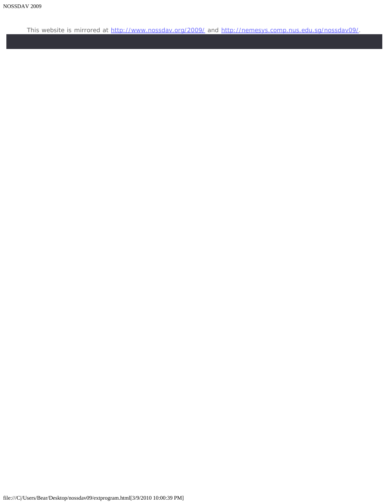This website is mirrored at [http://www.nossdav.org/2009/](javascript:if(confirm() and [http://nemesys.comp.nus.edu.sg/nossdav09/](javascript:if(confirm().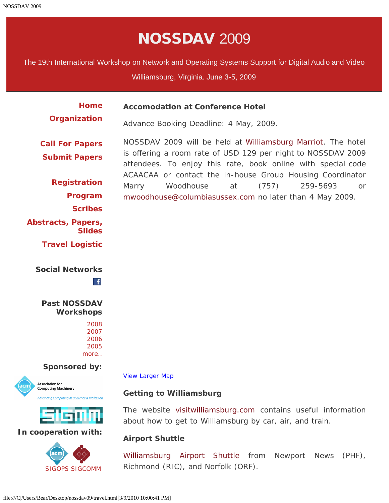# NOSSDAV 2009

<span id="page-62-0"></span>The 19th International Workshop on Network and Operating Systems Support for Digital Audio and Video

Williamsburg, Virginia. June 3-5, 2009

| <b>Home</b><br>Organization         | <b>Accomodation at Conference Hotel</b>                                                                                      |
|-------------------------------------|------------------------------------------------------------------------------------------------------------------------------|
|                                     | Advance Booking Deadline: 4 May, 2009.                                                                                       |
| <b>Call For Papers</b>              | NOSSDAV 2009 will be held at Williamsburg Marriot. The hotel                                                                 |
| <b>Submit Papers</b>                | is offering a room rate of USD 129 per night to NOSSDAV 2009<br>attendees. To enjoy this rate, book online with special code |
|                                     | ACAACAA or contact the in-house Group Housing Coordinator                                                                    |
| <b>Registration</b>                 | Marry<br>(757)<br>Woodhouse at<br>259-5693<br><sub>or</sub>                                                                  |
| Program                             | mwoodhouse@columbiasussex.com no later than 4 May 2009.                                                                      |
| <b>Scribes</b>                      |                                                                                                                              |
| Abstracts, Papers,<br><b>Slides</b> |                                                                                                                              |
| <b>Travel Logistic</b>              |                                                                                                                              |

#### **Social Networks**

 $\mathbf{f}$ 

**Past NOSSDAV Workshops**

#### **Sponsored by:**





#### **In cooperation with:**



[View Larger Map](javascript:if(confirm()

#### **Getting to Williamsburg**

The website [visitwilliamsburg.com](javascript:if(confirm() contains useful information about how to get to Williamsburg by car, air, and train.

#### **Airport Shuttle**

[Williamsburg Airport Shuttle](javascript:if(confirm() from Newport News (PHF), Richmond (RIC), and Norfolk (ORF).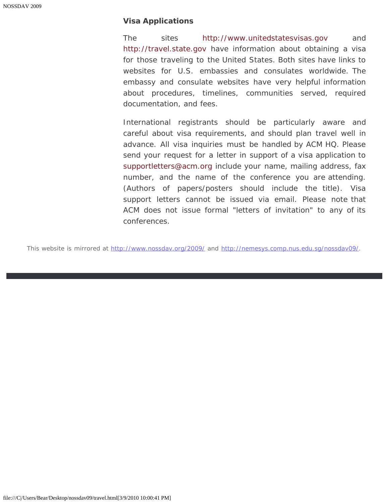#### **Visa Applications**

The sites [http://www.unitedstatesvisas.gov](javascript:if(confirm() and [http://travel.state.gov](javascript:if(confirm() have information about obtaining a visa for those traveling to the United States. Both sites have links to websites for U.S. embassies and consulates worldwide. The embassy and consulate websites have very helpful information about procedures, timelines, communities served, required documentation, and fees.

International registrants should be particularly aware and careful about visa requirements, and should plan travel well in advance. All visa inquiries must be handled by ACM HQ. Please send your request for a letter in support of a visa application to [supportletters@acm.org](mailto:supportletters@acm.org) include *your name, mailing address, fax number, and the name of the conference you are attending. (Authors of papers/posters should include the title).* Visa support letters cannot be issued via email. Please note that ACM does not issue formal "letters of invitation" to any of its conferences.

This website is mirrored at [http://www.nossdav.org/2009/](javascript:if(confirm() and [http://nemesys.comp.nus.edu.sg/nossdav09/](javascript:if(confirm().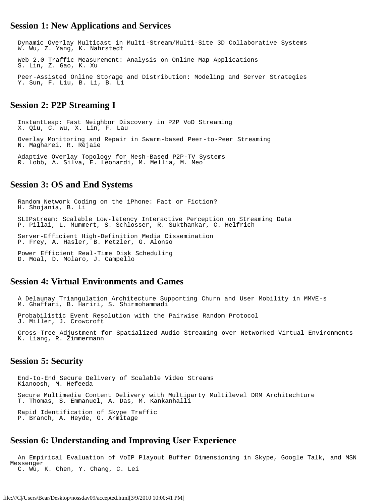#### <span id="page-64-0"></span>**Session 1: New Applications and Services**

 Dynamic Overlay Multicast in Multi-Stream/Multi-Site 3D Collaborative Systems W. Wu, Z. Yang, K. Nahrstedt Web 2.0 Traffic Measurement: Analysis on Online Map Applications S. Lin, Z. Gao, K. Xu Peer-Assisted Online Storage and Distribution: Modeling and Server Strategies Y. Sun, F. Liu, B. Li, B. Li

#### **Session 2: P2P Streaming I**

 InstantLeap: Fast Neighbor Discovery in P2P VoD Streaming X. Qiu, C. Wu, X. Lin, F. Lau Overlay Monitoring and Repair in Swarm-based Peer-to-Peer Streaming N. Magharei, R. Rejaie Adaptive Overlay Topology for Mesh-Based P2P-TV Systems R. Lobb, A. Silva, E. Leonardi, M. Mellia, M. Meo

#### **Session 3: OS and End Systems**

 Random Network Coding on the iPhone: Fact or Fiction? H. Shojania, B. Li SLIPstream: Scalable Low-latency Interactive Perception on Streaming Data P. Pillai, L. Mummert, S. Schlosser, R. Sukthankar, C. Helfrich Server-Efficient High-Definition Media Dissemination P. Frey, A. Hasler, B. Metzler, G. Alonso Power Efficient Real-Time Disk Scheduling D. Moal, D. Molaro, J. Campello

#### **Session 4: Virtual Environments and Games**

 A Delaunay Triangulation Architecture Supporting Churn and User Mobility in MMVE-s M. Ghaffari, B. Hariri, S. Shirmohammadi Probabilistic Event Resolution with the Pairwise Random Protocol J. Miller, J. Crowcroft

 Cross-Tree Adjustment for Spatialized Audio Streaming over Networked Virtual Environments K. Liang, R. Zimmermann

#### **Session 5: Security**

 End-to-End Secure Delivery of Scalable Video Streams Kianoosh, M. Hefeeda Secure Multimedia Content Delivery with Multiparty Multilevel DRM Architechture T. Thomas, S. Emmanuel, A. Das, M. Kankanhalli Rapid Identification of Skype Traffic P. Branch, A. Heyde, G. Armitage

#### **Session 6: Understanding and Improving User Experience**

```
 An Empirical Evaluation of VoIP Playout Buffer Dimensioning in Skype, Google Talk, and MSN 
Messenger 
   C. Wu, K. Chen, Y. Chang, C. Lei
```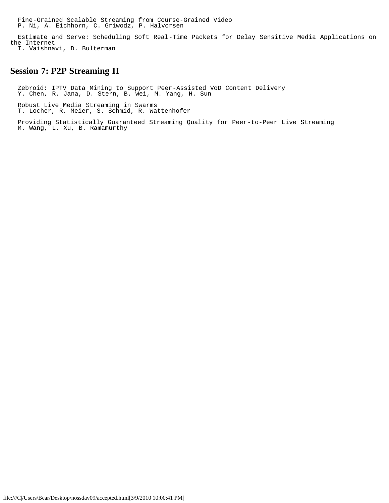Fine-Grained Scalable Streaming from Course-Grained Video P. Ni, A. Eichhorn, C. Griwodz, P. Halvorsen

 Estimate and Serve: Scheduling Soft Real-Time Packets for Delay Sensitive Media Applications on the Internet

I. Vaishnavi, D. Bulterman

#### **Session 7: P2P Streaming II**

 Zebroid: IPTV Data Mining to Support Peer-Assisted VoD Content Delivery Y. Chen, R. Jana, D. Stern, B. Wei, M. Yang, H. Sun

 Robust Live Media Streaming in Swarms T. Locher, R. Meier, S. Schmid, R. Wattenhofer

 Providing Statistically Guaranteed Streaming Quality for Peer-to-Peer Live Streaming M. Wang, L. Xu, B. Ramamurthy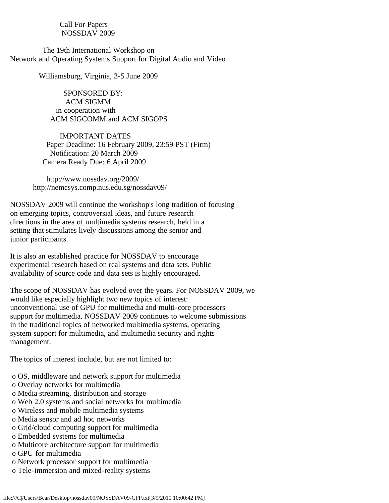Call For Papers NOSSDAV 2009

<span id="page-66-0"></span> The 19th International Workshop on Network and Operating Systems Support for Digital Audio and Video

Williamsburg, Virginia, 3-5 June 2009

 SPONSORED BY: ACM SIGMM in cooperation with ACM SIGCOMM and ACM SIGOPS

 IMPORTANT DATES Paper Deadline: 16 February 2009, 23:59 PST (Firm) Notification: 20 March 2009 Camera Ready Due: 6 April 2009

 http://www.nossdav.org/2009/ http://nemesys.comp.nus.edu.sg/nossdav09/

NOSSDAV 2009 will continue the workshop's long tradition of focusing on emerging topics, controversial ideas, and future research directions in the area of multimedia systems research, held in a setting that stimulates lively discussions among the senior and junior participants.

It is also an established practice for NOSSDAV to encourage experimental research based on real systems and data sets. Public availability of source code and data sets is highly encouraged.

The scope of NOSSDAV has evolved over the years. For NOSSDAV 2009, we would like especially highlight two new topics of interest: unconventional use of GPU for multimedia and multi-core processors support for multimedia. NOSSDAV 2009 continues to welcome submissions in the traditional topics of networked multimedia systems, operating system support for multimedia, and multimedia security and rights management.

The topics of interest include, but are not limited to:

- o OS, middleware and network support for multimedia
- o Overlay networks for multimedia
- o Media streaming, distribution and storage
- o Web 2.0 systems and social networks for multimedia
- o Wireless and mobile multimedia systems
- o Media sensor and ad hoc networks
- o Grid/cloud computing support for multimedia
- o Embedded systems for multimedia
- o Multicore architecture support for multimedia
- o GPU for multimedia
- o Network processor support for multimedia
- o Tele-immersion and mixed-reality systems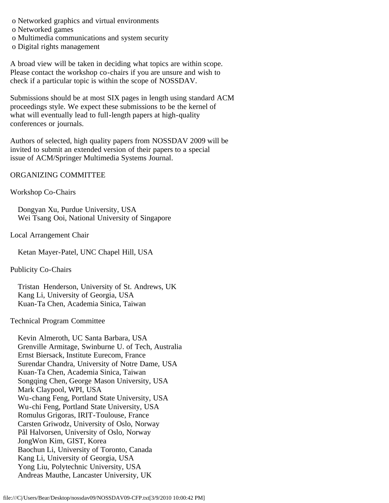o Networked graphics and virtual environments

o Networked games

o Multimedia communications and system security

o Digital rights management

A broad view will be taken in deciding what topics are within scope. Please contact the workshop co-chairs if you are unsure and wish to check if a particular topic is within the scope of NOSSDAV.

Submissions should be at most SIX pages in length using standard ACM proceedings style. We expect these submissions to be the kernel of what will eventually lead to full-length papers at high-quality conferences or journals.

Authors of selected, high quality papers from NOSSDAV 2009 will be invited to submit an extended version of their papers to a special issue of ACM/Springer Multimedia Systems Journal.

ORGANIZING COMMITTEE

Workshop Co-Chairs

 Dongyan Xu, Purdue University, USA Wei Tsang Ooi, National University of Singapore

Local Arrangement Chair

Ketan Mayer-Patel, UNC Chapel Hill, USA

Publicity Co-Chairs

 Tristan Henderson, University of St. Andrews, UK Kang Li, University of Georgia, USA Kuan-Ta Chen, Academia Sinica, Taiwan

Technical Program Committee

 Kevin Almeroth, UC Santa Barbara, USA Grenville Armitage, Swinburne U. of Tech, Australia Ernst Biersack, Institute Eurecom, France Surendar Chandra, University of Notre Dame, USA Kuan-Ta Chen, Academia Sinica, Taiwan Songqing Chen, George Mason University, USA Mark Claypool, WPI, USA Wu-chang Feng, Portland State University, USA Wu-chi Feng, Portland State University, USA Romulus Grigoras, IRIT-Toulouse, France Carsten Griwodz, University of Oslo, Norway Pål Halvorsen, University of Oslo, Norway JongWon Kim, GIST, Korea Baochun Li, University of Toronto, Canada Kang Li, University of Georgia, USA Yong Liu, Polytechnic University, USA Andreas Mauthe, Lancaster University, UK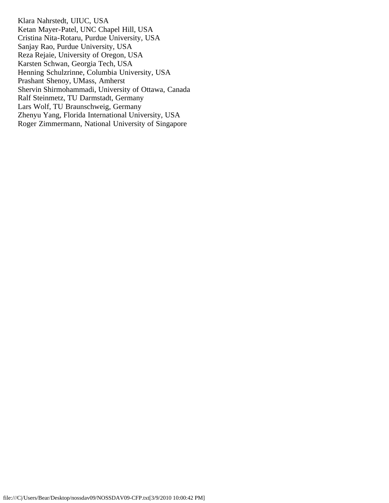Klara Nahrstedt, UIUC, USA Ketan Mayer-Patel, UNC Chapel Hill, USA Cristina Nita-Rotaru, Purdue University, USA Sanjay Rao, Purdue University, USA Reza Rejaie, University of Oregon, USA Karsten Schwan, Georgia Tech, USA Henning Schulzrinne, Columbia University, USA Prashant Shenoy, UMass, Amherst Shervin Shirmohammadi, University of Ottawa, Canada Ralf Steinmetz, TU Darmstadt, Germany Lars Wolf, TU Braunschweig, Germany Zhenyu Yang, Florida International University, USA Roger Zimmermann, National University of Singapore